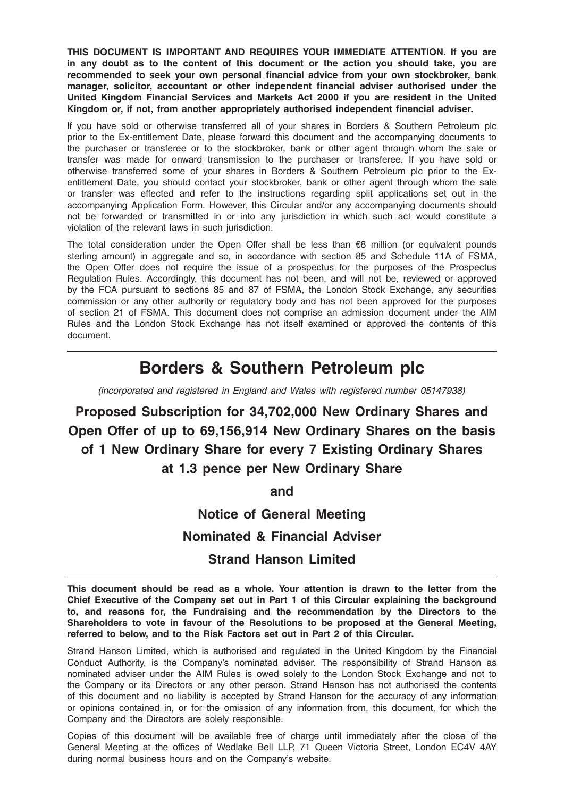THIS DOCUMENT IS IMPORTANT AND REQUIRES YOUR IMMEDIATE ATTENTION. If you are in any doubt as to the content of this document or the action you should take, you are recommended to seek your own personal financial advice from your own stockbroker, bank manager, solicitor, accountant or other independent financial adviser authorised under the United Kingdom Financial Services and Markets Act 2000 if you are resident in the United Kingdom or, if not, from another appropriately authorised independent financial adviser.

If you have sold or otherwise transferred all of your shares in Borders & Southern Petroleum plc prior to the Ex-entitlement Date, please forward this document and the accompanying documents to the purchaser or transferee or to the stockbroker, bank or other agent through whom the sale or transfer was made for onward transmission to the purchaser or transferee. If you have sold or otherwise transferred some of your shares in Borders & Southern Petroleum plc prior to the Exentitlement Date, you should contact your stockbroker, bank or other agent through whom the sale or transfer was effected and refer to the instructions regarding split applications set out in the accompanying Application Form. However, this Circular and/or any accompanying documents should not be forwarded or transmitted in or into any jurisdiction in which such act would constitute a violation of the relevant laws in such jurisdiction.

The total consideration under the Open Offer shall be less than  $€8$  million (or equivalent pounds sterling amount) in aggregate and so, in accordance with section 85 and Schedule 11A of FSMA, the Open Offer does not require the issue of a prospectus for the purposes of the Prospectus Regulation Rules. Accordingly, this document has not been, and will not be, reviewed or approved by the FCA pursuant to sections 85 and 87 of FSMA, the London Stock Exchange, any securities commission or any other authority or regulatory body and has not been approved for the purposes of section 21 of FSMA. This document does not comprise an admission document under the AIM Rules and the London Stock Exchange has not itself examined or approved the contents of this document.

# Borders & Southern Petroleum plc

(incorporated and registered in England and Wales with registered number 05147938)

Proposed Subscription for 34,702,000 New Ordinary Shares and Open Offer of up to 69,156,914 New Ordinary Shares on the basis of 1 New Ordinary Share for every 7 Existing Ordinary Shares at 1.3 pence per New Ordinary Share

and

Notice of General Meeting Nominated & Financial Adviser Strand Hanson Limited

This document should be read as a whole. Your attention is drawn to the letter from the Chief Executive of the Company set out in Part 1 of this Circular explaining the background to, and reasons for, the Fundraising and the recommendation by the Directors to the Shareholders to vote in favour of the Resolutions to be proposed at the General Meeting, referred to below, and to the Risk Factors set out in Part 2 of this Circular.

Strand Hanson Limited, which is authorised and regulated in the United Kingdom by the Financial Conduct Authority, is the Company's nominated adviser. The responsibility of Strand Hanson as nominated adviser under the AIM Rules is owed solely to the London Stock Exchange and not to the Company or its Directors or any other person. Strand Hanson has not authorised the contents of this document and no liability is accepted by Strand Hanson for the accuracy of any information or opinions contained in, or for the omission of any information from, this document, for which the Company and the Directors are solely responsible.

Copies of this document will be available free of charge until immediately after the close of the General Meeting at the offices of Wedlake Bell LLP, 71 Queen Victoria Street, London EC4V 4AY during normal business hours and on the Company's website.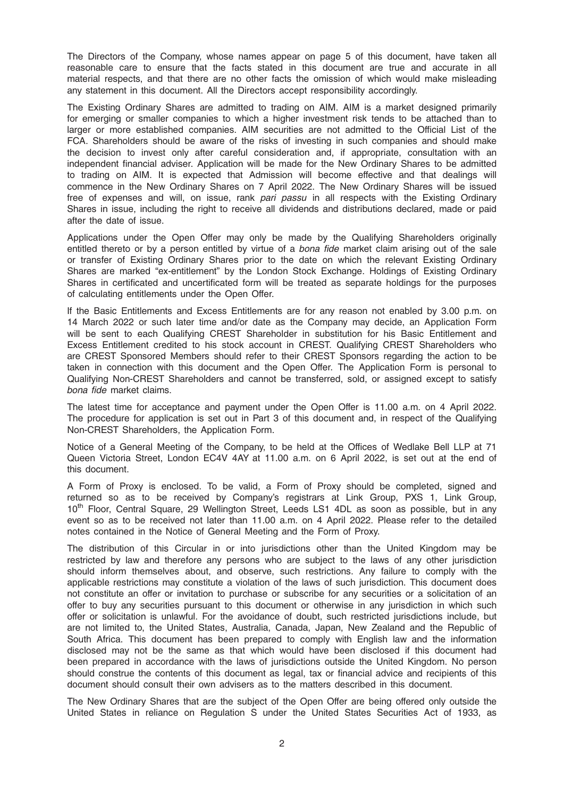The Directors of the Company, whose names appear on page 5 of this document, have taken all reasonable care to ensure that the facts stated in this document are true and accurate in all material respects, and that there are no other facts the omission of which would make misleading any statement in this document. All the Directors accept responsibility accordingly.

The Existing Ordinary Shares are admitted to trading on AIM. AIM is a market designed primarily for emerging or smaller companies to which a higher investment risk tends to be attached than to larger or more established companies. AIM securities are not admitted to the Official List of the FCA. Shareholders should be aware of the risks of investing in such companies and should make the decision to invest only after careful consideration and, if appropriate, consultation with an independent financial adviser. Application will be made for the New Ordinary Shares to be admitted to trading on AIM. It is expected that Admission will become effective and that dealings will commence in the New Ordinary Shares on 7 April 2022. The New Ordinary Shares will be issued free of expenses and will, on issue, rank pari passu in all respects with the Existing Ordinary Shares in issue, including the right to receive all dividends and distributions declared, made or paid after the date of issue.

Applications under the Open Offer may only be made by the Qualifying Shareholders originally entitled thereto or by a person entitled by virtue of a bona fide market claim arising out of the sale or transfer of Existing Ordinary Shares prior to the date on which the relevant Existing Ordinary Shares are marked "ex-entitlement" by the London Stock Exchange. Holdings of Existing Ordinary Shares in certificated and uncertificated form will be treated as separate holdings for the purposes of calculating entitlements under the Open Offer.

If the Basic Entitlements and Excess Entitlements are for any reason not enabled by 3.00 p.m. on 14 March 2022 or such later time and/or date as the Company may decide, an Application Form will be sent to each Qualifying CREST Shareholder in substitution for his Basic Entitlement and Excess Entitlement credited to his stock account in CREST. Qualifying CREST Shareholders who are CREST Sponsored Members should refer to their CREST Sponsors regarding the action to be taken in connection with this document and the Open Offer. The Application Form is personal to Qualifying Non-CREST Shareholders and cannot be transferred, sold, or assigned except to satisfy bona fide market claims.

The latest time for acceptance and payment under the Open Offer is 11.00 a.m. on 4 April 2022. The procedure for application is set out in Part 3 of this document and, in respect of the Qualifying Non-CREST Shareholders, the Application Form.

Notice of a General Meeting of the Company, to be held at the Offices of Wedlake Bell LLP at 71 Queen Victoria Street, London EC4V 4AY at 11.00 a.m. on 6 April 2022, is set out at the end of this document.

A Form of Proxy is enclosed. To be valid, a Form of Proxy should be completed, signed and returned so as to be received by Company's registrars at Link Group, PXS 1, Link Group, 10<sup>th</sup> Floor, Central Square, 29 Wellington Street, Leeds LS1 4DL as soon as possible, but in any event so as to be received not later than 11.00 a.m. on 4 April 2022. Please refer to the detailed notes contained in the Notice of General Meeting and the Form of Proxy.

The distribution of this Circular in or into jurisdictions other than the United Kingdom may be restricted by law and therefore any persons who are subject to the laws of any other jurisdiction should inform themselves about, and observe, such restrictions. Any failure to comply with the applicable restrictions may constitute a violation of the laws of such jurisdiction. This document does not constitute an offer or invitation to purchase or subscribe for any securities or a solicitation of an offer to buy any securities pursuant to this document or otherwise in any jurisdiction in which such offer or solicitation is unlawful. For the avoidance of doubt, such restricted jurisdictions include, but are not limited to, the United States, Australia, Canada, Japan, New Zealand and the Republic of South Africa. This document has been prepared to comply with English law and the information disclosed may not be the same as that which would have been disclosed if this document had been prepared in accordance with the laws of jurisdictions outside the United Kingdom. No person should construe the contents of this document as legal, tax or financial advice and recipients of this document should consult their own advisers as to the matters described in this document.

The New Ordinary Shares that are the subject of the Open Offer are being offered only outside the United States in reliance on Regulation S under the United States Securities Act of 1933, as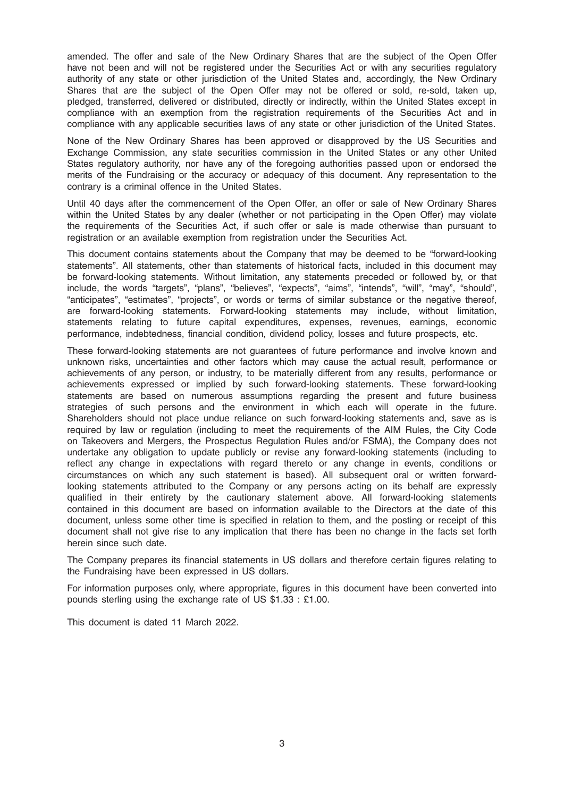amended. The offer and sale of the New Ordinary Shares that are the subject of the Open Offer have not been and will not be registered under the Securities Act or with any securities regulatory authority of any state or other jurisdiction of the United States and, accordingly, the New Ordinary Shares that are the subject of the Open Offer may not be offered or sold, re-sold, taken up, pledged, transferred, delivered or distributed, directly or indirectly, within the United States except in compliance with an exemption from the registration requirements of the Securities Act and in compliance with any applicable securities laws of any state or other jurisdiction of the United States.

None of the New Ordinary Shares has been approved or disapproved by the US Securities and Exchange Commission, any state securities commission in the United States or any other United States regulatory authority, nor have any of the foregoing authorities passed upon or endorsed the merits of the Fundraising or the accuracy or adequacy of this document. Any representation to the contrary is a criminal offence in the United States.

Until 40 days after the commencement of the Open Offer, an offer or sale of New Ordinary Shares within the United States by any dealer (whether or not participating in the Open Offer) may violate the requirements of the Securities Act, if such offer or sale is made otherwise than pursuant to registration or an available exemption from registration under the Securities Act.

This document contains statements about the Company that may be deemed to be "forward-looking statements". All statements, other than statements of historical facts, included in this document may be forward-looking statements. Without limitation, any statements preceded or followed by, or that include, the words "targets", "plans", "believes", "expects", "aims", "intends", "will", "may", "should", "anticipates", "estimates", "projects", or words or terms of similar substance or the negative thereof, are forward-looking statements. Forward-looking statements may include, without limitation, statements relating to future capital expenditures, expenses, revenues, earnings, economic performance, indebtedness, financial condition, dividend policy, losses and future prospects, etc.

These forward-looking statements are not guarantees of future performance and involve known and unknown risks, uncertainties and other factors which may cause the actual result, performance or achievements of any person, or industry, to be materially different from any results, performance or achievements expressed or implied by such forward-looking statements. These forward-looking statements are based on numerous assumptions regarding the present and future business strategies of such persons and the environment in which each will operate in the future. Shareholders should not place undue reliance on such forward-looking statements and, save as is required by law or regulation (including to meet the requirements of the AIM Rules, the City Code on Takeovers and Mergers, the Prospectus Regulation Rules and/or FSMA), the Company does not undertake any obligation to update publicly or revise any forward-looking statements (including to reflect any change in expectations with regard thereto or any change in events, conditions or circumstances on which any such statement is based). All subsequent oral or written forwardlooking statements attributed to the Company or any persons acting on its behalf are expressly qualified in their entirety by the cautionary statement above. All forward-looking statements contained in this document are based on information available to the Directors at the date of this document, unless some other time is specified in relation to them, and the posting or receipt of this document shall not give rise to any implication that there has been no change in the facts set forth herein since such date.

The Company prepares its financial statements in US dollars and therefore certain figures relating to the Fundraising have been expressed in US dollars.

For information purposes only, where appropriate, figures in this document have been converted into pounds sterling using the exchange rate of US \$1.33 : £1.00.

This document is dated 11 March 2022.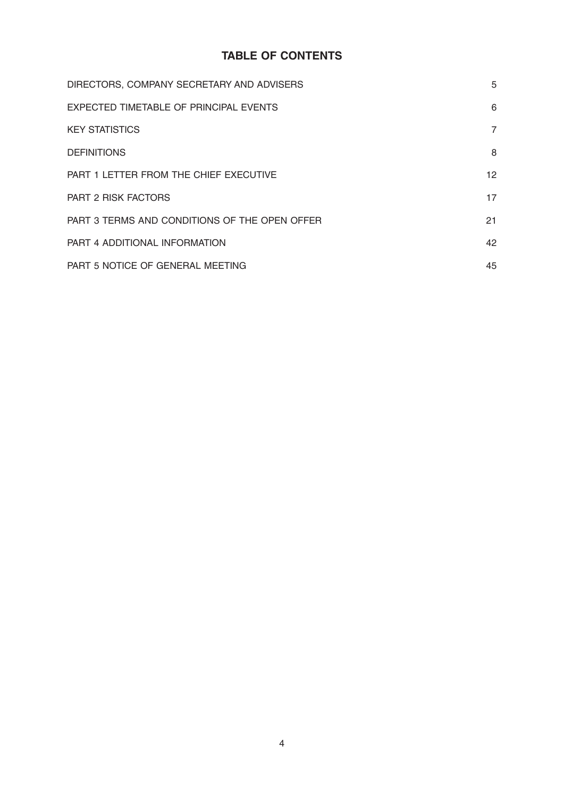# TABLE OF CONTENTS

| DIRECTORS, COMPANY SECRETARY AND ADVISERS     | 5              |
|-----------------------------------------------|----------------|
| EXPECTED TIMETABLE OF PRINCIPAL EVENTS        | 6              |
| <b>KEY STATISTICS</b>                         | $\overline{7}$ |
| <b>DEFINITIONS</b>                            | 8              |
| PART 1 LETTER FROM THE CHIEF EXECUTIVE        | 12             |
| <b>PART 2 RISK FACTORS</b>                    | 17             |
| PART 3 TERMS AND CONDITIONS OF THE OPEN OFFER | 21             |
| PART 4 ADDITIONAL INFORMATION                 | 42             |
| PART 5 NOTICE OF GENERAL MEETING              | 45             |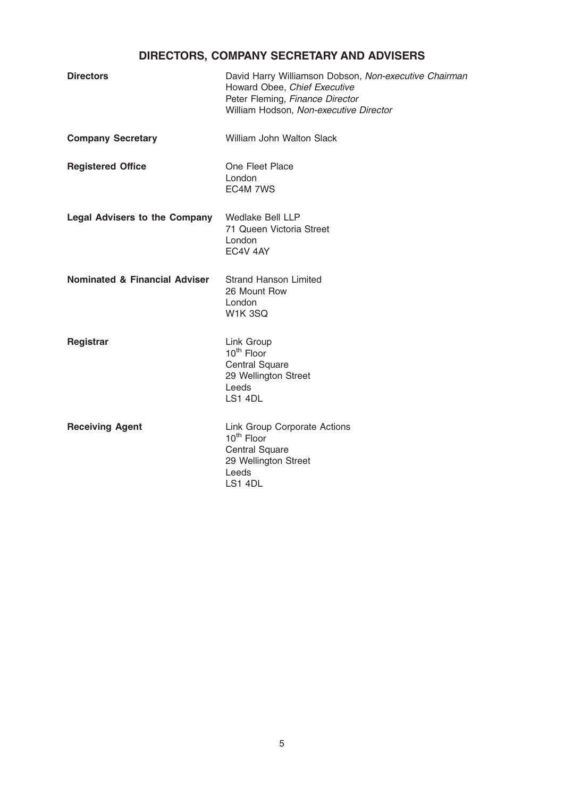# DIRECTORS, COMPANY SECRETARY AND ADVISERS

| <b>Directors</b>                         | David Harry Williamson Dobson, Non-executive Chairman<br>Howard Obee, Chief Executive<br>Peter Fleming, Finance Director<br>William Hodson, Non-executive Director |  |
|------------------------------------------|--------------------------------------------------------------------------------------------------------------------------------------------------------------------|--|
| <b>Company Secretary</b>                 | <b>William John Walton Slack</b>                                                                                                                                   |  |
| <b>Registered Office</b>                 | One Fleet Place<br>London<br>EC4M 7WS                                                                                                                              |  |
| <b>Legal Advisers to the Company</b>     | Wedlake Bell LLP<br>71 Queen Victoria Street<br>London<br>EC4V 4AY                                                                                                 |  |
| <b>Nominated &amp; Financial Adviser</b> | <b>Strand Hanson Limited</b><br>26 Mount Row<br>London<br><b>W1K3SQ</b>                                                                                            |  |
| Registrar                                | Link Group<br>10 <sup>th</sup> Floor<br><b>Central Square</b><br>29 Wellington Street<br>Leeds<br>LS1 4DL                                                          |  |
| <b>Receiving Agent</b>                   | Link Group Corporate Actions<br>10 <sup>th</sup> Floor<br><b>Central Square</b><br>29 Wellington Street<br>Leeds<br>LS1 4DL                                        |  |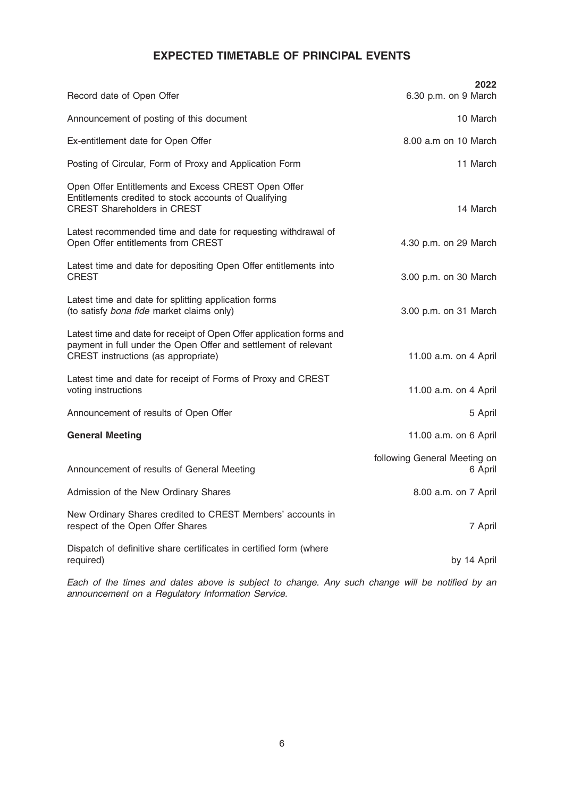# EXPECTED TIMETABLE OF PRINCIPAL EVENTS

| Record date of Open Offer                                                                                                                                                      | 2022<br>6.30 p.m. on 9 March            |
|--------------------------------------------------------------------------------------------------------------------------------------------------------------------------------|-----------------------------------------|
| Announcement of posting of this document                                                                                                                                       | 10 March                                |
| Ex-entitlement date for Open Offer                                                                                                                                             | 8.00 a.m on 10 March                    |
| Posting of Circular, Form of Proxy and Application Form                                                                                                                        | 11 March                                |
| Open Offer Entitlements and Excess CREST Open Offer<br>Entitlements credited to stock accounts of Qualifying<br><b>CREST Shareholders in CREST</b>                             | 14 March                                |
| Latest recommended time and date for requesting withdrawal of<br>Open Offer entitlements from CREST                                                                            | 4.30 p.m. on 29 March                   |
| Latest time and date for depositing Open Offer entitlements into<br><b>CREST</b>                                                                                               | 3.00 p.m. on 30 March                   |
| Latest time and date for splitting application forms<br>(to satisfy bona fide market claims only)                                                                              | 3.00 p.m. on 31 March                   |
| Latest time and date for receipt of Open Offer application forms and<br>payment in full under the Open Offer and settlement of relevant<br>CREST instructions (as appropriate) | 11.00 a.m. on 4 April                   |
| Latest time and date for receipt of Forms of Proxy and CREST<br>voting instructions                                                                                            | 11.00 a.m. on 4 April                   |
| Announcement of results of Open Offer                                                                                                                                          | 5 April                                 |
| <b>General Meeting</b>                                                                                                                                                         | 11.00 a.m. on 6 April                   |
| Announcement of results of General Meeting                                                                                                                                     | following General Meeting on<br>6 April |
| Admission of the New Ordinary Shares                                                                                                                                           | 8.00 a.m. on 7 April                    |
| New Ordinary Shares credited to CREST Members' accounts in<br>respect of the Open Offer Shares                                                                                 | 7 April                                 |
| Dispatch of definitive share certificates in certified form (where<br>required)                                                                                                | by 14 April                             |

Each of the times and dates above is subject to change. Any such change will be notified by an announcement on a Regulatory Information Service.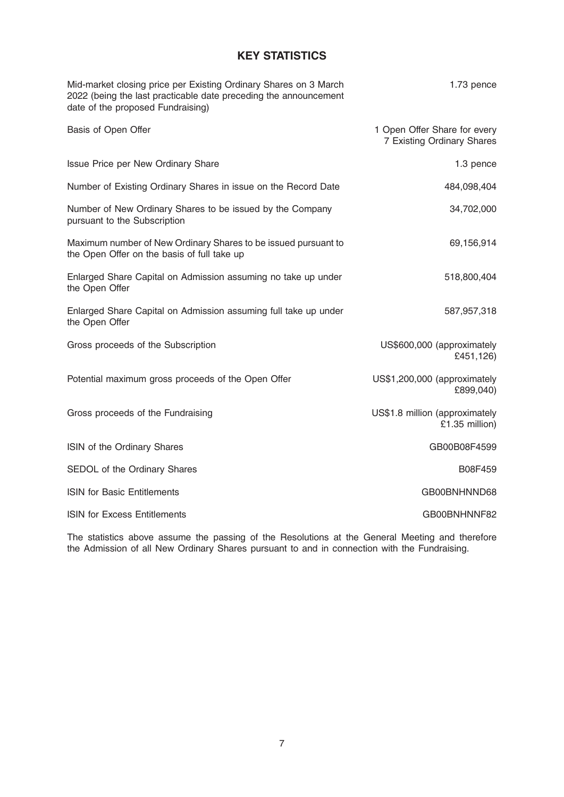# KEY STATISTICS

| Mid-market closing price per Existing Ordinary Shares on 3 March<br>2022 (being the last practicable date preceding the announcement<br>date of the proposed Fundraising) | 1.73 pence                                                 |
|---------------------------------------------------------------------------------------------------------------------------------------------------------------------------|------------------------------------------------------------|
| Basis of Open Offer                                                                                                                                                       | 1 Open Offer Share for every<br>7 Existing Ordinary Shares |
| Issue Price per New Ordinary Share                                                                                                                                        | 1.3 pence                                                  |
| Number of Existing Ordinary Shares in issue on the Record Date                                                                                                            | 484,098,404                                                |
| Number of New Ordinary Shares to be issued by the Company<br>pursuant to the Subscription                                                                                 | 34,702,000                                                 |
| Maximum number of New Ordinary Shares to be issued pursuant to<br>the Open Offer on the basis of full take up                                                             | 69,156,914                                                 |
| Enlarged Share Capital on Admission assuming no take up under<br>the Open Offer                                                                                           | 518,800,404                                                |
| Enlarged Share Capital on Admission assuming full take up under<br>the Open Offer                                                                                         | 587,957,318                                                |
| Gross proceeds of the Subscription                                                                                                                                        | US\$600,000 (approximately<br>£451,126)                    |
| Potential maximum gross proceeds of the Open Offer                                                                                                                        | US\$1,200,000 (approximately<br>£899,040)                  |
| Gross proceeds of the Fundraising                                                                                                                                         | US\$1.8 million (approximately<br>£1.35 million)           |
| ISIN of the Ordinary Shares                                                                                                                                               | GB00B08F4599                                               |
| SEDOL of the Ordinary Shares                                                                                                                                              | B08F459                                                    |
| <b>ISIN for Basic Entitlements</b>                                                                                                                                        | GB00BNHNND68                                               |
| <b>ISIN for Excess Entitlements</b>                                                                                                                                       | GB00BNHNNF82                                               |
|                                                                                                                                                                           |                                                            |

The statistics above assume the passing of the Resolutions at the General Meeting and therefore the Admission of all New Ordinary Shares pursuant to and in connection with the Fundraising.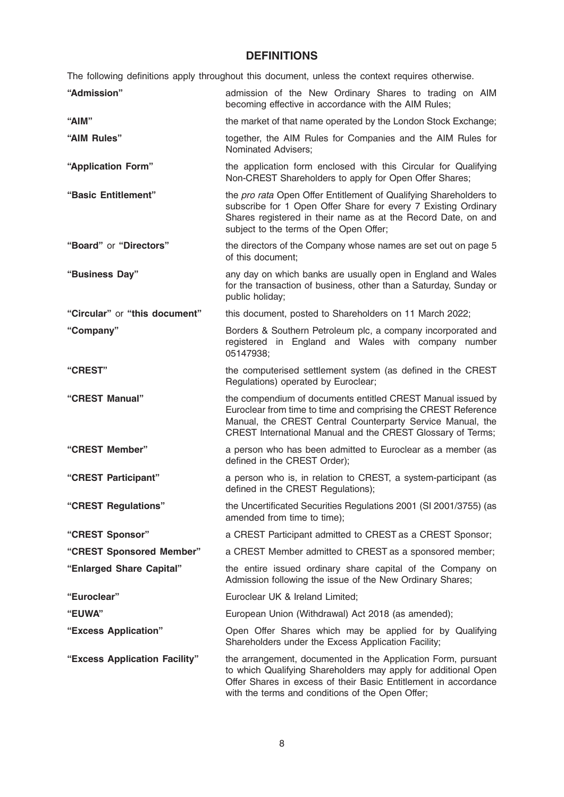# **DEFINITIONS**

The following definitions apply throughout this document, unless the context requires otherwise.

| "Admission"                   | admission of the New Ordinary Shares to trading on AIM<br>becoming effective in accordance with the AIM Rules;                                                                                                                                             |  |  |
|-------------------------------|------------------------------------------------------------------------------------------------------------------------------------------------------------------------------------------------------------------------------------------------------------|--|--|
| "AIM"                         | the market of that name operated by the London Stock Exchange;                                                                                                                                                                                             |  |  |
| "AIM Rules"                   | together, the AIM Rules for Companies and the AIM Rules for<br>Nominated Advisers;                                                                                                                                                                         |  |  |
| "Application Form"            | the application form enclosed with this Circular for Qualifying<br>Non-CREST Shareholders to apply for Open Offer Shares;                                                                                                                                  |  |  |
| "Basic Entitlement"           | the pro rata Open Offer Entitlement of Qualifying Shareholders to<br>subscribe for 1 Open Offer Share for every 7 Existing Ordinary<br>Shares registered in their name as at the Record Date, on and<br>subject to the terms of the Open Offer;            |  |  |
| "Board" or "Directors"        | the directors of the Company whose names are set out on page 5<br>of this document:                                                                                                                                                                        |  |  |
| "Business Day"                | any day on which banks are usually open in England and Wales<br>for the transaction of business, other than a Saturday, Sunday or<br>public holiday;                                                                                                       |  |  |
| "Circular" or "this document" | this document, posted to Shareholders on 11 March 2022;                                                                                                                                                                                                    |  |  |
| "Company"                     | Borders & Southern Petroleum plc, a company incorporated and<br>registered in England and Wales with company number<br>05147938;                                                                                                                           |  |  |
| "CREST"                       | the computerised settlement system (as defined in the CREST<br>Regulations) operated by Euroclear;                                                                                                                                                         |  |  |
| "CREST Manual"                | the compendium of documents entitled CREST Manual issued by<br>Euroclear from time to time and comprising the CREST Reference<br>Manual, the CREST Central Counterparty Service Manual, the<br>CREST International Manual and the CREST Glossary of Terms; |  |  |
| "CREST Member"                | a person who has been admitted to Euroclear as a member (as<br>defined in the CREST Order);                                                                                                                                                                |  |  |
| "CREST Participant"           | a person who is, in relation to CREST, a system-participant (as<br>defined in the CREST Regulations);                                                                                                                                                      |  |  |
| "CREST Regulations"           | the Uncertificated Securities Regulations 2001 (SI 2001/3755) (as<br>amended from time to time);                                                                                                                                                           |  |  |
| "CREST Sponsor"               | a CREST Participant admitted to CREST as a CREST Sponsor;                                                                                                                                                                                                  |  |  |
| "CREST Sponsored Member"      | a CREST Member admitted to CREST as a sponsored member;                                                                                                                                                                                                    |  |  |
| "Enlarged Share Capital"      | the entire issued ordinary share capital of the Company on<br>Admission following the issue of the New Ordinary Shares;                                                                                                                                    |  |  |
| "Euroclear"                   | Euroclear UK & Ireland Limited;                                                                                                                                                                                                                            |  |  |
| <b>"EUWA"</b>                 | European Union (Withdrawal) Act 2018 (as amended);                                                                                                                                                                                                         |  |  |
| "Excess Application"          | Open Offer Shares which may be applied for by Qualifying<br>Shareholders under the Excess Application Facility;                                                                                                                                            |  |  |
| "Excess Application Facility" | the arrangement, documented in the Application Form, pursuant<br>to which Qualifying Shareholders may apply for additional Open<br>Offer Shares in excess of their Basic Entitlement in accordance                                                         |  |  |

with the terms and conditions of the Open Offer;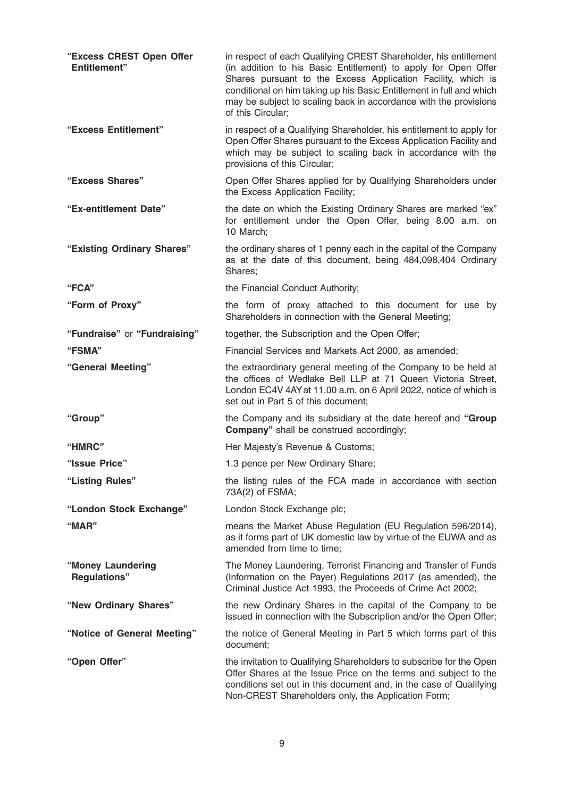| "Excess CREST Open Offer<br><b>Entitlement"</b> | in respect of each Qualifying CREST Shareholder, his entitlement<br>(in addition to his Basic Entitlement) to apply for Open Offer<br>Shares pursuant to the Excess Application Facility, which is<br>conditional on him taking up his Basic Entitlement in full and which<br>may be subject to scaling back in accordance with the provisions<br>of this Circular; |
|-------------------------------------------------|---------------------------------------------------------------------------------------------------------------------------------------------------------------------------------------------------------------------------------------------------------------------------------------------------------------------------------------------------------------------|
| "Excess Entitlement"                            | in respect of a Qualifying Shareholder, his entitlement to apply for<br>Open Offer Shares pursuant to the Excess Application Facility and<br>which may be subject to scaling back in accordance with the<br>provisions of this Circular;                                                                                                                            |
| "Excess Shares"                                 | Open Offer Shares applied for by Qualifying Shareholders under<br>the Excess Application Facility;                                                                                                                                                                                                                                                                  |
| "Ex-entitlement Date"                           | the date on which the Existing Ordinary Shares are marked "ex"<br>for entitlement under the Open Offer, being 8.00 a.m. on<br>10 March:                                                                                                                                                                                                                             |
| "Existing Ordinary Shares"                      | the ordinary shares of 1 penny each in the capital of the Company<br>as at the date of this document, being 484,098,404 Ordinary<br>Shares;                                                                                                                                                                                                                         |
| "FCA"                                           | the Financial Conduct Authority;                                                                                                                                                                                                                                                                                                                                    |
| "Form of Proxy"                                 | the form of proxy attached to this document for use by<br>Shareholders in connection with the General Meeting;                                                                                                                                                                                                                                                      |
| "Fundraise" or "Fundraising"                    | together, the Subscription and the Open Offer;                                                                                                                                                                                                                                                                                                                      |
| "FSMA"                                          | Financial Services and Markets Act 2000, as amended;                                                                                                                                                                                                                                                                                                                |
| "General Meeting"                               | the extraordinary general meeting of the Company to be held at<br>the offices of Wedlake Bell LLP at 71 Queen Victoria Street,<br>London EC4V 4AY at 11.00 a.m. on 6 April 2022, notice of which is<br>set out in Part 5 of this document;                                                                                                                          |
| "Group"                                         | the Company and its subsidiary at the date hereof and "Group"<br><b>Company"</b> shall be construed accordingly;                                                                                                                                                                                                                                                    |
| "HMRC"                                          | Her Majesty's Revenue & Customs;                                                                                                                                                                                                                                                                                                                                    |
| "Issue Price"                                   | 1.3 pence per New Ordinary Share;                                                                                                                                                                                                                                                                                                                                   |
| "Listing Rules"                                 | the listing rules of the FCA made in accordance with section<br>73A(2) of FSMA;                                                                                                                                                                                                                                                                                     |
| "London Stock Exchange"                         | London Stock Exchange plc;                                                                                                                                                                                                                                                                                                                                          |
| " $MAR$ "                                       | means the Market Abuse Regulation (EU Regulation 596/2014),<br>as it forms part of UK domestic law by virtue of the EUWA and as<br>amended from time to time;                                                                                                                                                                                                       |
| "Money Laundering<br><b>Regulations"</b>        | The Money Laundering, Terrorist Financing and Transfer of Funds<br>(Information on the Payer) Regulations 2017 (as amended), the<br>Criminal Justice Act 1993, the Proceeds of Crime Act 2002;                                                                                                                                                                      |
| "New Ordinary Shares"                           | the new Ordinary Shares in the capital of the Company to be<br>issued in connection with the Subscription and/or the Open Offer;                                                                                                                                                                                                                                    |
| "Notice of General Meeting"                     | the notice of General Meeting in Part 5 which forms part of this<br>document;                                                                                                                                                                                                                                                                                       |
| "Open Offer"                                    | the invitation to Qualifying Shareholders to subscribe for the Open<br>Offer Shares at the Issue Price on the terms and subject to the<br>conditions set out in this document and, in the case of Qualifying<br>Non-CREST Shareholders only, the Application Form;                                                                                                  |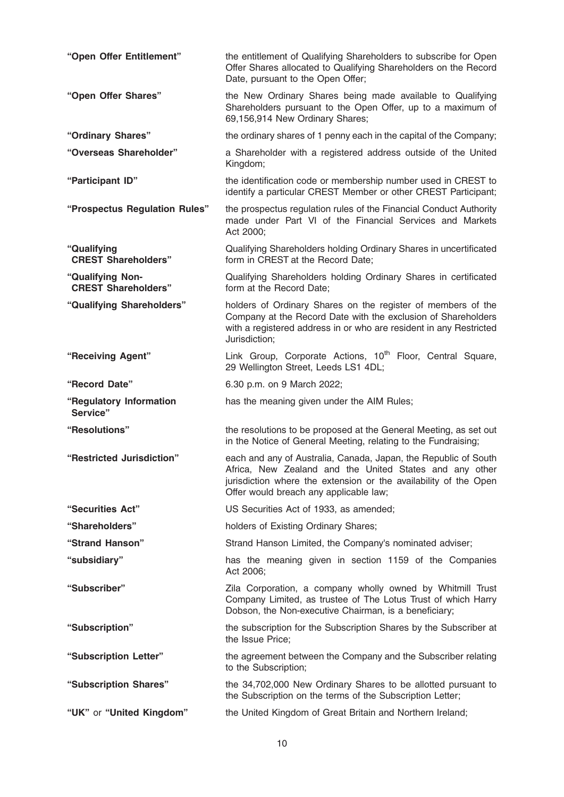| "Open Offer Entitlement"                       | the entitlement of Qualifying Shareholders to subscribe for Open<br>Offer Shares allocated to Qualifying Shareholders on the Record<br>Date, pursuant to the Open Offer;                                                                 |
|------------------------------------------------|------------------------------------------------------------------------------------------------------------------------------------------------------------------------------------------------------------------------------------------|
| "Open Offer Shares"                            | the New Ordinary Shares being made available to Qualifying<br>Shareholders pursuant to the Open Offer, up to a maximum of<br>69,156,914 New Ordinary Shares;                                                                             |
| "Ordinary Shares"                              | the ordinary shares of 1 penny each in the capital of the Company;                                                                                                                                                                       |
| "Overseas Shareholder"                         | a Shareholder with a registered address outside of the United<br>Kingdom;                                                                                                                                                                |
| "Participant ID"                               | the identification code or membership number used in CREST to<br>identify a particular CREST Member or other CREST Participant;                                                                                                          |
| "Prospectus Regulation Rules"                  | the prospectus regulation rules of the Financial Conduct Authority<br>made under Part VI of the Financial Services and Markets<br>Act 2000;                                                                                              |
| "Qualifying<br><b>CREST Shareholders"</b>      | Qualifying Shareholders holding Ordinary Shares in uncertificated<br>form in CREST at the Record Date;                                                                                                                                   |
| "Qualifying Non-<br><b>CREST Shareholders"</b> | Qualifying Shareholders holding Ordinary Shares in certificated<br>form at the Record Date;                                                                                                                                              |
| "Qualifying Shareholders"                      | holders of Ordinary Shares on the register of members of the<br>Company at the Record Date with the exclusion of Shareholders<br>with a registered address in or who are resident in any Restricted<br>Jurisdiction;                     |
| "Receiving Agent"                              | Link Group, Corporate Actions, 10 <sup>th</sup> Floor, Central Square,<br>29 Wellington Street, Leeds LS1 4DL;                                                                                                                           |
| "Record Date"                                  | 6.30 p.m. on 9 March 2022;                                                                                                                                                                                                               |
| "Regulatory Information<br>Service"            | has the meaning given under the AIM Rules;                                                                                                                                                                                               |
| "Resolutions"                                  | the resolutions to be proposed at the General Meeting, as set out<br>in the Notice of General Meeting, relating to the Fundraising;                                                                                                      |
| "Restricted Jurisdiction"                      | each and any of Australia, Canada, Japan, the Republic of South<br>Africa, New Zealand and the United States and any other<br>jurisdiction where the extension or the availability of the Open<br>Offer would breach any applicable law; |
| "Securities Act"                               | US Securities Act of 1933, as amended;                                                                                                                                                                                                   |
| "Shareholders"                                 | holders of Existing Ordinary Shares;                                                                                                                                                                                                     |
| "Strand Hanson"                                | Strand Hanson Limited, the Company's nominated adviser;                                                                                                                                                                                  |
| "subsidiary"                                   | has the meaning given in section 1159 of the Companies<br>Act 2006;                                                                                                                                                                      |
| "Subscriber"                                   | Zila Corporation, a company wholly owned by Whitmill Trust<br>Company Limited, as trustee of The Lotus Trust of which Harry<br>Dobson, the Non-executive Chairman, is a beneficiary;                                                     |
|                                                |                                                                                                                                                                                                                                          |
| "Subscription"                                 | the subscription for the Subscription Shares by the Subscriber at<br>the Issue Price;                                                                                                                                                    |
| "Subscription Letter"                          | the agreement between the Company and the Subscriber relating<br>to the Subscription;                                                                                                                                                    |
| "Subscription Shares"                          | the 34,702,000 New Ordinary Shares to be allotted pursuant to<br>the Subscription on the terms of the Subscription Letter;                                                                                                               |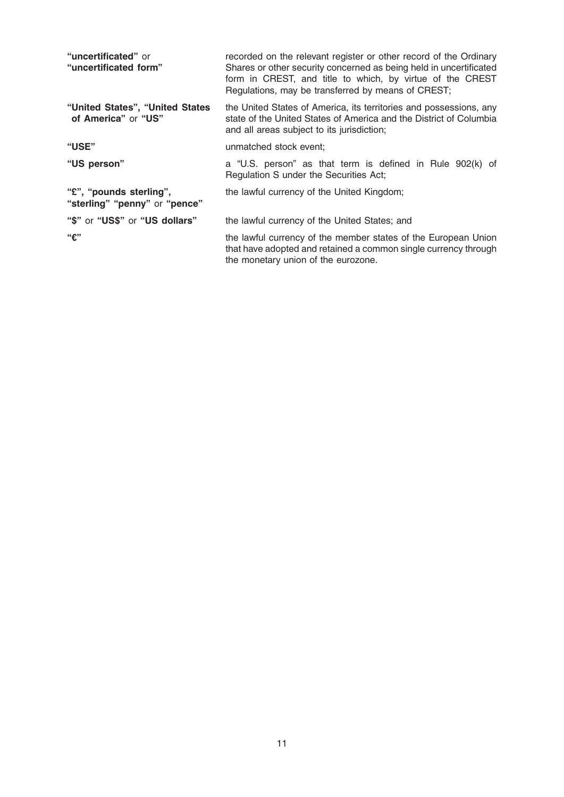| "uncertificated" or<br>"uncertificated form"             | recorded on the relevant register or other record of the Ordinary<br>Shares or other security concerned as being held in uncertificated<br>form in CREST, and title to which, by virtue of the CREST<br>Regulations, may be transferred by means of CREST; |
|----------------------------------------------------------|------------------------------------------------------------------------------------------------------------------------------------------------------------------------------------------------------------------------------------------------------------|
| "United States", "United States<br>of America" or "US"   | the United States of America, its territories and possessions, any<br>state of the United States of America and the District of Columbia<br>and all areas subject to its jurisdiction;                                                                     |
| "USE"                                                    | unmatched stock event;                                                                                                                                                                                                                                     |
| "US person"                                              | a "U.S. person" as that term is defined in Rule 902(k) of<br>Regulation S under the Securities Act;                                                                                                                                                        |
| "£", "pounds sterling",<br>"sterling" "penny" or "pence" | the lawful currency of the United Kingdom;                                                                                                                                                                                                                 |
| "\$" or "US\$" or "US dollars"                           | the lawful currency of the United States; and                                                                                                                                                                                                              |
| ``f"                                                     | the lawful currency of the member states of the European Union<br>that have adopted and retained a common single currency through<br>the monetary union of the eurozone.                                                                                   |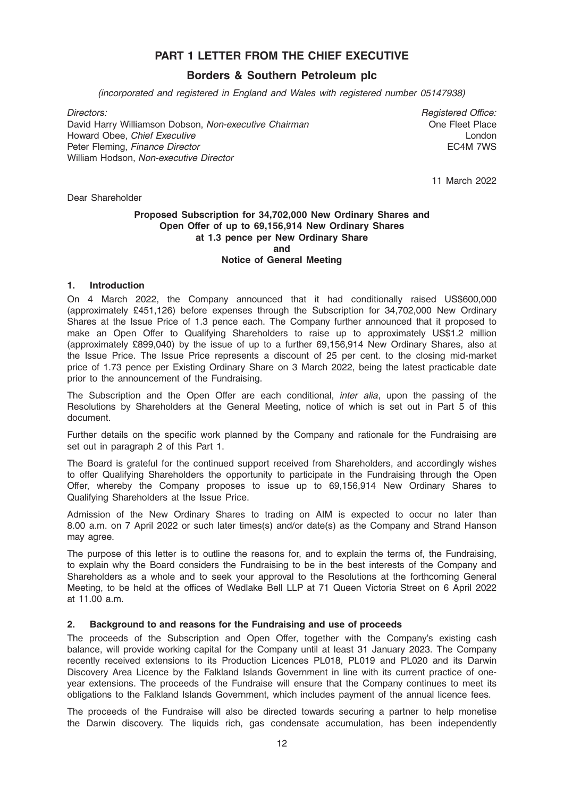# PART 1 LETTER FROM THE CHIEF EXECUTIVE

# Borders & Southern Petroleum plc

(incorporated and registered in England and Wales with registered number 05147938)

David Harry Williamson Dobson, Non-executive Chairman Chairman Chairman One Fleet Place Howard Obee, *Chief Executive* London **London** London **London** Peter Fleming, *Finance Director* **ECAM 7WS** William Hodson, Non-executive Director

Directors: Registered Office:

11 March 2022

Dear Shareholder

### Proposed Subscription for 34,702,000 New Ordinary Shares and Open Offer of up to 69,156,914 New Ordinary Shares at 1.3 pence per New Ordinary Share and Notice of General Meeting

# 1. Introduction

On 4 March 2022, the Company announced that it had conditionally raised US\$600,000 (approximately £451,126) before expenses through the Subscription for 34,702,000 New Ordinary Shares at the Issue Price of 1.3 pence each. The Company further announced that it proposed to make an Open Offer to Qualifying Shareholders to raise up to approximately US\$1.2 million (approximately £899,040) by the issue of up to a further 69,156,914 New Ordinary Shares, also at the Issue Price. The Issue Price represents a discount of 25 per cent. to the closing mid-market price of 1.73 pence per Existing Ordinary Share on 3 March 2022, being the latest practicable date prior to the announcement of the Fundraising.

The Subscription and the Open Offer are each conditional, inter alia, upon the passing of the Resolutions by Shareholders at the General Meeting, notice of which is set out in Part 5 of this document.

Further details on the specific work planned by the Company and rationale for the Fundraising are set out in paragraph 2 of this Part 1.

The Board is grateful for the continued support received from Shareholders, and accordingly wishes to offer Qualifying Shareholders the opportunity to participate in the Fundraising through the Open Offer, whereby the Company proposes to issue up to 69,156,914 New Ordinary Shares to Qualifying Shareholders at the Issue Price.

Admission of the New Ordinary Shares to trading on AIM is expected to occur no later than 8.00 a.m. on 7 April 2022 or such later times(s) and/or date(s) as the Company and Strand Hanson may agree.

The purpose of this letter is to outline the reasons for, and to explain the terms of, the Fundraising, to explain why the Board considers the Fundraising to be in the best interests of the Company and Shareholders as a whole and to seek your approval to the Resolutions at the forthcoming General Meeting, to be held at the offices of Wedlake Bell LLP at 71 Queen Victoria Street on 6 April 2022 at 11.00 a.m.

# 2. Background to and reasons for the Fundraising and use of proceeds

The proceeds of the Subscription and Open Offer, together with the Company's existing cash balance, will provide working capital for the Company until at least 31 January 2023. The Company recently received extensions to its Production Licences PL018, PL019 and PL020 and its Darwin Discovery Area Licence by the Falkland Islands Government in line with its current practice of oneyear extensions. The proceeds of the Fundraise will ensure that the Company continues to meet its obligations to the Falkland Islands Government, which includes payment of the annual licence fees.

The proceeds of the Fundraise will also be directed towards securing a partner to help monetise the Darwin discovery. The liquids rich, gas condensate accumulation, has been independently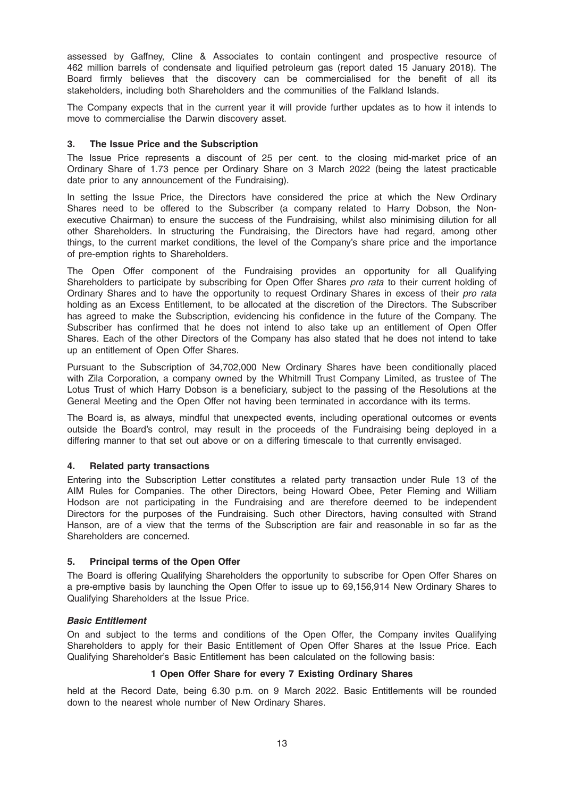assessed by Gaffney, Cline & Associates to contain contingent and prospective resource of 462 million barrels of condensate and liquified petroleum gas (report dated 15 January 2018). The Board firmly believes that the discovery can be commercialised for the benefit of all its stakeholders, including both Shareholders and the communities of the Falkland Islands.

The Company expects that in the current year it will provide further updates as to how it intends to move to commercialise the Darwin discovery asset.

# 3. The Issue Price and the Subscription

The Issue Price represents a discount of 25 per cent. to the closing mid-market price of an Ordinary Share of 1.73 pence per Ordinary Share on 3 March 2022 (being the latest practicable date prior to any announcement of the Fundraising).

In setting the Issue Price, the Directors have considered the price at which the New Ordinary Shares need to be offered to the Subscriber (a company related to Harry Dobson, the Nonexecutive Chairman) to ensure the success of the Fundraising, whilst also minimising dilution for all other Shareholders. In structuring the Fundraising, the Directors have had regard, among other things, to the current market conditions, the level of the Company's share price and the importance of pre-emption rights to Shareholders.

The Open Offer component of the Fundraising provides an opportunity for all Qualifying Shareholders to participate by subscribing for Open Offer Shares *pro rata* to their current holding of Ordinary Shares and to have the opportunity to request Ordinary Shares in excess of their pro rata holding as an Excess Entitlement, to be allocated at the discretion of the Directors. The Subscriber has agreed to make the Subscription, evidencing his confidence in the future of the Company. The Subscriber has confirmed that he does not intend to also take up an entitlement of Open Offer Shares. Each of the other Directors of the Company has also stated that he does not intend to take up an entitlement of Open Offer Shares.

Pursuant to the Subscription of 34,702,000 New Ordinary Shares have been conditionally placed with Zila Corporation, a company owned by the Whitmill Trust Company Limited, as trustee of The Lotus Trust of which Harry Dobson is a beneficiary, subject to the passing of the Resolutions at the General Meeting and the Open Offer not having been terminated in accordance with its terms.

The Board is, as always, mindful that unexpected events, including operational outcomes or events outside the Board's control, may result in the proceeds of the Fundraising being deployed in a differing manner to that set out above or on a differing timescale to that currently envisaged.

#### 4. Related party transactions

Entering into the Subscription Letter constitutes a related party transaction under Rule 13 of the AIM Rules for Companies. The other Directors, being Howard Obee, Peter Fleming and William Hodson are not participating in the Fundraising and are therefore deemed to be independent Directors for the purposes of the Fundraising. Such other Directors, having consulted with Strand Hanson, are of a view that the terms of the Subscription are fair and reasonable in so far as the Shareholders are concerned.

#### 5. Principal terms of the Open Offer

The Board is offering Qualifying Shareholders the opportunity to subscribe for Open Offer Shares on a pre-emptive basis by launching the Open Offer to issue up to 69,156,914 New Ordinary Shares to Qualifying Shareholders at the Issue Price.

#### Basic Entitlement

On and subject to the terms and conditions of the Open Offer, the Company invites Qualifying Shareholders to apply for their Basic Entitlement of Open Offer Shares at the Issue Price. Each Qualifying Shareholder's Basic Entitlement has been calculated on the following basis:

#### 1 Open Offer Share for every 7 Existing Ordinary Shares

held at the Record Date, being 6.30 p.m. on 9 March 2022. Basic Entitlements will be rounded down to the nearest whole number of New Ordinary Shares.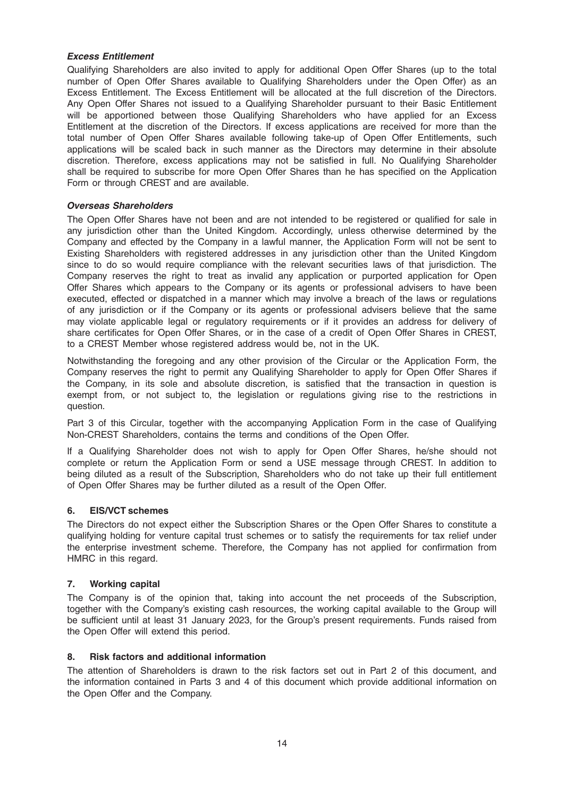# Excess Entitlement

Qualifying Shareholders are also invited to apply for additional Open Offer Shares (up to the total number of Open Offer Shares available to Qualifying Shareholders under the Open Offer) as an Excess Entitlement. The Excess Entitlement will be allocated at the full discretion of the Directors. Any Open Offer Shares not issued to a Qualifying Shareholder pursuant to their Basic Entitlement will be apportioned between those Qualifying Shareholders who have applied for an Excess Entitlement at the discretion of the Directors. If excess applications are received for more than the total number of Open Offer Shares available following take-up of Open Offer Entitlements, such applications will be scaled back in such manner as the Directors may determine in their absolute discretion. Therefore, excess applications may not be satisfied in full. No Qualifying Shareholder shall be required to subscribe for more Open Offer Shares than he has specified on the Application Form or through CREST and are available.

# Overseas Shareholders

The Open Offer Shares have not been and are not intended to be registered or qualified for sale in any jurisdiction other than the United Kingdom. Accordingly, unless otherwise determined by the Company and effected by the Company in a lawful manner, the Application Form will not be sent to Existing Shareholders with registered addresses in any jurisdiction other than the United Kingdom since to do so would require compliance with the relevant securities laws of that jurisdiction. The Company reserves the right to treat as invalid any application or purported application for Open Offer Shares which appears to the Company or its agents or professional advisers to have been executed, effected or dispatched in a manner which may involve a breach of the laws or regulations of any jurisdiction or if the Company or its agents or professional advisers believe that the same may violate applicable legal or regulatory requirements or if it provides an address for delivery of share certificates for Open Offer Shares, or in the case of a credit of Open Offer Shares in CREST, to a CREST Member whose registered address would be, not in the UK.

Notwithstanding the foregoing and any other provision of the Circular or the Application Form, the Company reserves the right to permit any Qualifying Shareholder to apply for Open Offer Shares if the Company, in its sole and absolute discretion, is satisfied that the transaction in question is exempt from, or not subject to, the legislation or regulations giving rise to the restrictions in question.

Part 3 of this Circular, together with the accompanying Application Form in the case of Qualifying Non-CREST Shareholders, contains the terms and conditions of the Open Offer.

If a Qualifying Shareholder does not wish to apply for Open Offer Shares, he/she should not complete or return the Application Form or send a USE message through CREST. In addition to being diluted as a result of the Subscription, Shareholders who do not take up their full entitlement of Open Offer Shares may be further diluted as a result of the Open Offer.

# 6. EIS/VCT schemes

The Directors do not expect either the Subscription Shares or the Open Offer Shares to constitute a qualifying holding for venture capital trust schemes or to satisfy the requirements for tax relief under the enterprise investment scheme. Therefore, the Company has not applied for confirmation from HMRC in this regard.

# 7. Working capital

The Company is of the opinion that, taking into account the net proceeds of the Subscription, together with the Company's existing cash resources, the working capital available to the Group will be sufficient until at least 31 January 2023, for the Group's present requirements. Funds raised from the Open Offer will extend this period.

# 8. Risk factors and additional information

The attention of Shareholders is drawn to the risk factors set out in Part 2 of this document, and the information contained in Parts 3 and 4 of this document which provide additional information on the Open Offer and the Company.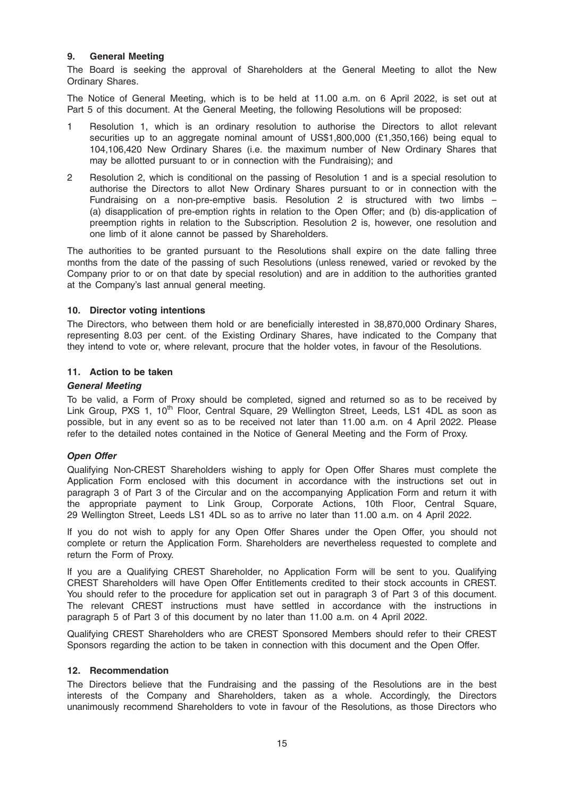# 9. General Meeting

The Board is seeking the approval of Shareholders at the General Meeting to allot the New Ordinary Shares.

The Notice of General Meeting, which is to be held at 11.00 a.m. on 6 April 2022, is set out at Part 5 of this document. At the General Meeting, the following Resolutions will be proposed:

- 1 Resolution 1, which is an ordinary resolution to authorise the Directors to allot relevant securities up to an aggregate nominal amount of US\$1,800,000 (£1,350,166) being equal to 104,106,420 New Ordinary Shares (i.e. the maximum number of New Ordinary Shares that may be allotted pursuant to or in connection with the Fundraising); and
- 2 Resolution 2, which is conditional on the passing of Resolution 1 and is a special resolution to authorise the Directors to allot New Ordinary Shares pursuant to or in connection with the Fundraising on a non-pre-emptive basis. Resolution 2 is structured with two limbs – (a) disapplication of pre-emption rights in relation to the Open Offer; and (b) dis-application of preemption rights in relation to the Subscription. Resolution 2 is, however, one resolution and one limb of it alone cannot be passed by Shareholders.

The authorities to be granted pursuant to the Resolutions shall expire on the date falling three months from the date of the passing of such Resolutions (unless renewed, varied or revoked by the Company prior to or on that date by special resolution) and are in addition to the authorities granted at the Company's last annual general meeting.

# 10. Director voting intentions

The Directors, who between them hold or are beneficially interested in 38,870,000 Ordinary Shares, representing 8.03 per cent. of the Existing Ordinary Shares, have indicated to the Company that they intend to vote or, where relevant, procure that the holder votes, in favour of the Resolutions.

# 11. Action to be taken

# General Meeting

To be valid, a Form of Proxy should be completed, signed and returned so as to be received by Link Group, PXS 1, 10<sup>th</sup> Floor, Central Square, 29 Wellington Street, Leeds, LS1 4DL as soon as possible, but in any event so as to be received not later than 11.00 a.m. on 4 April 2022. Please refer to the detailed notes contained in the Notice of General Meeting and the Form of Proxy.

# Open Offer

Qualifying Non-CREST Shareholders wishing to apply for Open Offer Shares must complete the Application Form enclosed with this document in accordance with the instructions set out in paragraph 3 of Part 3 of the Circular and on the accompanying Application Form and return it with the appropriate payment to Link Group, Corporate Actions, 10th Floor, Central Square, 29 Wellington Street, Leeds LS1 4DL so as to arrive no later than 11.00 a.m. on 4 April 2022.

If you do not wish to apply for any Open Offer Shares under the Open Offer, you should not complete or return the Application Form. Shareholders are nevertheless requested to complete and return the Form of Proxy.

If you are a Qualifying CREST Shareholder, no Application Form will be sent to you. Qualifying CREST Shareholders will have Open Offer Entitlements credited to their stock accounts in CREST. You should refer to the procedure for application set out in paragraph 3 of Part 3 of this document. The relevant CREST instructions must have settled in accordance with the instructions in paragraph 5 of Part 3 of this document by no later than 11.00 a.m. on 4 April 2022.

Qualifying CREST Shareholders who are CREST Sponsored Members should refer to their CREST Sponsors regarding the action to be taken in connection with this document and the Open Offer.

#### 12. Recommendation

The Directors believe that the Fundraising and the passing of the Resolutions are in the best interests of the Company and Shareholders, taken as a whole. Accordingly, the Directors unanimously recommend Shareholders to vote in favour of the Resolutions, as those Directors who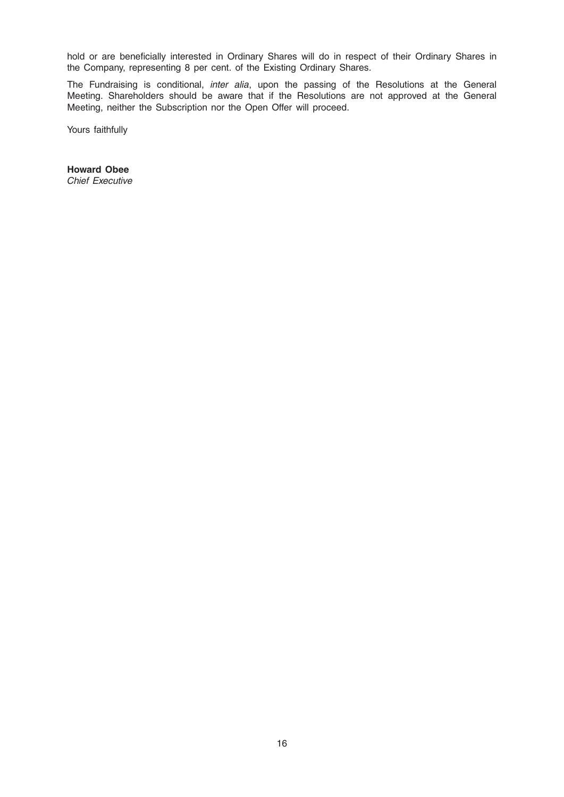hold or are beneficially interested in Ordinary Shares will do in respect of their Ordinary Shares in the Company, representing 8 per cent. of the Existing Ordinary Shares.

The Fundraising is conditional, inter alia, upon the passing of the Resolutions at the General Meeting. Shareholders should be aware that if the Resolutions are not approved at the General Meeting, neither the Subscription nor the Open Offer will proceed.

Yours faithfully

Howard Obee Chief Executive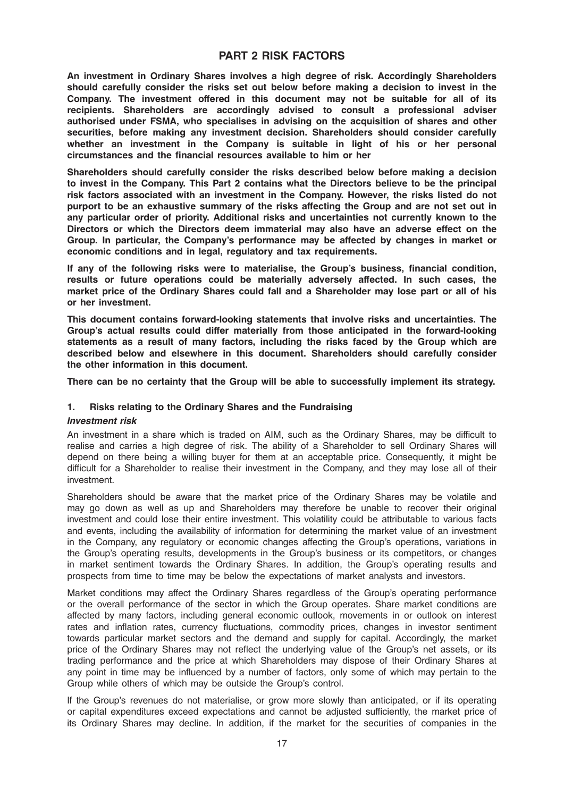# PART 2 RISK FACTORS

An investment in Ordinary Shares involves a high degree of risk. Accordingly Shareholders should carefully consider the risks set out below before making a decision to invest in the Company. The investment offered in this document may not be suitable for all of its recipients. Shareholders are accordingly advised to consult a professional adviser authorised under FSMA, who specialises in advising on the acquisition of shares and other securities, before making any investment decision. Shareholders should consider carefully whether an investment in the Company is suitable in light of his or her personal circumstances and the financial resources available to him or her

Shareholders should carefully consider the risks described below before making a decision to invest in the Company. This Part 2 contains what the Directors believe to be the principal risk factors associated with an investment in the Company. However, the risks listed do not purport to be an exhaustive summary of the risks affecting the Group and are not set out in any particular order of priority. Additional risks and uncertainties not currently known to the Directors or which the Directors deem immaterial may also have an adverse effect on the Group. In particular, the Company's performance may be affected by changes in market or economic conditions and in legal, regulatory and tax requirements.

If any of the following risks were to materialise, the Group's business, financial condition, results or future operations could be materially adversely affected. In such cases, the market price of the Ordinary Shares could fall and a Shareholder may lose part or all of his or her investment.

This document contains forward-looking statements that involve risks and uncertainties. The Group's actual results could differ materially from those anticipated in the forward-looking statements as a result of many factors, including the risks faced by the Group which are described below and elsewhere in this document. Shareholders should carefully consider the other information in this document.

There can be no certainty that the Group will be able to successfully implement its strategy.

# 1. Risks relating to the Ordinary Shares and the Fundraising

#### Investment risk

An investment in a share which is traded on AIM, such as the Ordinary Shares, may be difficult to realise and carries a high degree of risk. The ability of a Shareholder to sell Ordinary Shares will depend on there being a willing buyer for them at an acceptable price. Consequently, it might be difficult for a Shareholder to realise their investment in the Company, and they may lose all of their investment.

Shareholders should be aware that the market price of the Ordinary Shares may be volatile and may go down as well as up and Shareholders may therefore be unable to recover their original investment and could lose their entire investment. This volatility could be attributable to various facts and events, including the availability of information for determining the market value of an investment in the Company, any regulatory or economic changes affecting the Group's operations, variations in the Group's operating results, developments in the Group's business or its competitors, or changes in market sentiment towards the Ordinary Shares. In addition, the Group's operating results and prospects from time to time may be below the expectations of market analysts and investors.

Market conditions may affect the Ordinary Shares regardless of the Group's operating performance or the overall performance of the sector in which the Group operates. Share market conditions are affected by many factors, including general economic outlook, movements in or outlook on interest rates and inflation rates, currency fluctuations, commodity prices, changes in investor sentiment towards particular market sectors and the demand and supply for capital. Accordingly, the market price of the Ordinary Shares may not reflect the underlying value of the Group's net assets, or its trading performance and the price at which Shareholders may dispose of their Ordinary Shares at any point in time may be influenced by a number of factors, only some of which may pertain to the Group while others of which may be outside the Group's control.

If the Group's revenues do not materialise, or grow more slowly than anticipated, or if its operating or capital expenditures exceed expectations and cannot be adjusted sufficiently, the market price of its Ordinary Shares may decline. In addition, if the market for the securities of companies in the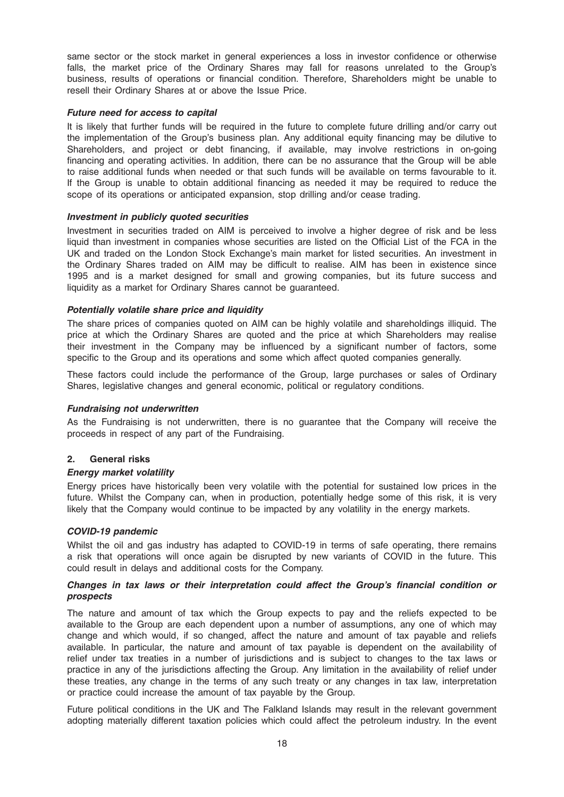same sector or the stock market in general experiences a loss in investor confidence or otherwise falls, the market price of the Ordinary Shares may fall for reasons unrelated to the Group's business, results of operations or financial condition. Therefore, Shareholders might be unable to resell their Ordinary Shares at or above the Issue Price.

#### Future need for access to capital

It is likely that further funds will be required in the future to complete future drilling and/or carry out the implementation of the Group's business plan. Any additional equity financing may be dilutive to Shareholders, and project or debt financing, if available, may involve restrictions in on-going financing and operating activities. In addition, there can be no assurance that the Group will be able to raise additional funds when needed or that such funds will be available on terms favourable to it. If the Group is unable to obtain additional financing as needed it may be required to reduce the scope of its operations or anticipated expansion, stop drilling and/or cease trading.

# Investment in publicly quoted securities

Investment in securities traded on AIM is perceived to involve a higher degree of risk and be less liquid than investment in companies whose securities are listed on the Official List of the FCA in the UK and traded on the London Stock Exchange's main market for listed securities. An investment in the Ordinary Shares traded on AIM may be difficult to realise. AIM has been in existence since 1995 and is a market designed for small and growing companies, but its future success and liquidity as a market for Ordinary Shares cannot be guaranteed.

# Potentially volatile share price and liquidity

The share prices of companies quoted on AIM can be highly volatile and shareholdings illiquid. The price at which the Ordinary Shares are quoted and the price at which Shareholders may realise their investment in the Company may be influenced by a significant number of factors, some specific to the Group and its operations and some which affect quoted companies generally.

These factors could include the performance of the Group, large purchases or sales of Ordinary Shares, legislative changes and general economic, political or regulatory conditions.

#### Fundraising not underwritten

As the Fundraising is not underwritten, there is no guarantee that the Company will receive the proceeds in respect of any part of the Fundraising.

#### 2. General risks

#### Energy market volatility

Energy prices have historically been very volatile with the potential for sustained low prices in the future. Whilst the Company can, when in production, potentially hedge some of this risk, it is very likely that the Company would continue to be impacted by any volatility in the energy markets.

#### COVID-19 pandemic

Whilst the oil and gas industry has adapted to COVID-19 in terms of safe operating, there remains a risk that operations will once again be disrupted by new variants of COVID in the future. This could result in delays and additional costs for the Company.

# Changes in tax laws or their interpretation could affect the Group's financial condition or prospects

The nature and amount of tax which the Group expects to pay and the reliefs expected to be available to the Group are each dependent upon a number of assumptions, any one of which may change and which would, if so changed, affect the nature and amount of tax payable and reliefs available. In particular, the nature and amount of tax payable is dependent on the availability of relief under tax treaties in a number of jurisdictions and is subject to changes to the tax laws or practice in any of the jurisdictions affecting the Group. Any limitation in the availability of relief under these treaties, any change in the terms of any such treaty or any changes in tax law, interpretation or practice could increase the amount of tax payable by the Group.

Future political conditions in the UK and The Falkland Islands may result in the relevant government adopting materially different taxation policies which could affect the petroleum industry. In the event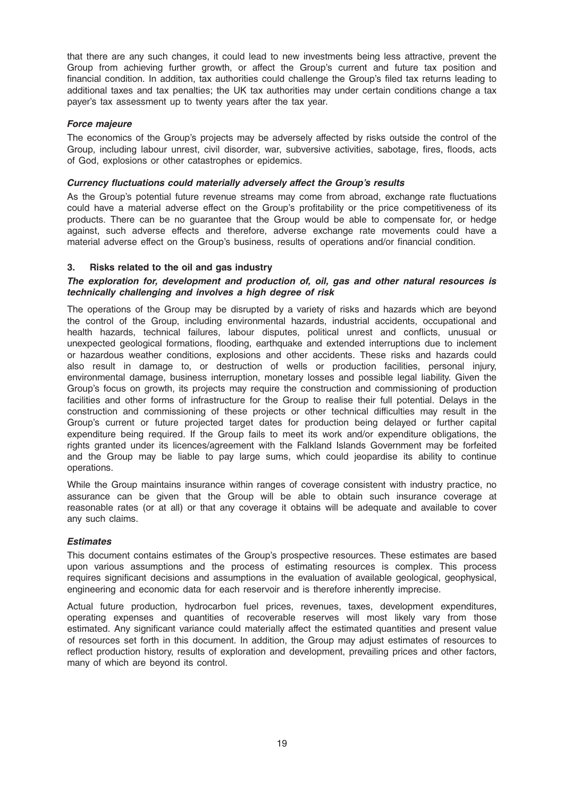that there are any such changes, it could lead to new investments being less attractive, prevent the Group from achieving further growth, or affect the Group's current and future tax position and financial condition. In addition, tax authorities could challenge the Group's filed tax returns leading to additional taxes and tax penalties; the UK tax authorities may under certain conditions change a tax payer's tax assessment up to twenty years after the tax year.

# Force majeure

The economics of the Group's projects may be adversely affected by risks outside the control of the Group, including labour unrest, civil disorder, war, subversive activities, sabotage, fires, floods, acts of God, explosions or other catastrophes or epidemics.

# Currency fluctuations could materially adversely affect the Group's results

As the Group's potential future revenue streams may come from abroad, exchange rate fluctuations could have a material adverse effect on the Group's profitability or the price competitiveness of its products. There can be no guarantee that the Group would be able to compensate for, or hedge against, such adverse effects and therefore, adverse exchange rate movements could have a material adverse effect on the Group's business, results of operations and/or financial condition.

# 3. Risks related to the oil and gas industry

# The exploration for, development and production of, oil, gas and other natural resources is technically challenging and involves a high degree of risk

The operations of the Group may be disrupted by a variety of risks and hazards which are beyond the control of the Group, including environmental hazards, industrial accidents, occupational and health hazards, technical failures, labour disputes, political unrest and conflicts, unusual or unexpected geological formations, flooding, earthquake and extended interruptions due to inclement or hazardous weather conditions, explosions and other accidents. These risks and hazards could also result in damage to, or destruction of wells or production facilities, personal injury, environmental damage, business interruption, monetary losses and possible legal liability. Given the Group's focus on growth, its projects may require the construction and commissioning of production facilities and other forms of infrastructure for the Group to realise their full potential. Delays in the construction and commissioning of these projects or other technical difficulties may result in the Group's current or future projected target dates for production being delayed or further capital expenditure being required. If the Group fails to meet its work and/or expenditure obligations, the rights granted under its licences/agreement with the Falkland Islands Government may be forfeited and the Group may be liable to pay large sums, which could jeopardise its ability to continue operations.

While the Group maintains insurance within ranges of coverage consistent with industry practice, no assurance can be given that the Group will be able to obtain such insurance coverage at reasonable rates (or at all) or that any coverage it obtains will be adequate and available to cover any such claims.

#### **Estimates**

This document contains estimates of the Group's prospective resources. These estimates are based upon various assumptions and the process of estimating resources is complex. This process requires significant decisions and assumptions in the evaluation of available geological, geophysical, engineering and economic data for each reservoir and is therefore inherently imprecise.

Actual future production, hydrocarbon fuel prices, revenues, taxes, development expenditures, operating expenses and quantities of recoverable reserves will most likely vary from those estimated. Any significant variance could materially affect the estimated quantities and present value of resources set forth in this document. In addition, the Group may adjust estimates of resources to reflect production history, results of exploration and development, prevailing prices and other factors, many of which are beyond its control.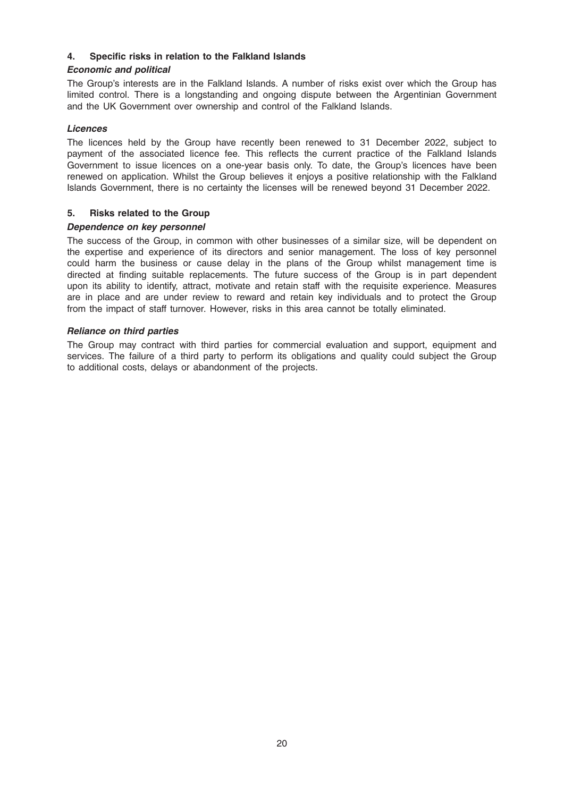# 4. Specific risks in relation to the Falkland Islands

# Economic and political

The Group's interests are in the Falkland Islands. A number of risks exist over which the Group has limited control. There is a longstanding and ongoing dispute between the Argentinian Government and the UK Government over ownership and control of the Falkland Islands.

# Licences

The licences held by the Group have recently been renewed to 31 December 2022, subject to payment of the associated licence fee. This reflects the current practice of the Falkland Islands Government to issue licences on a one-year basis only. To date, the Group's licences have been renewed on application. Whilst the Group believes it enjoys a positive relationship with the Falkland Islands Government, there is no certainty the licenses will be renewed beyond 31 December 2022.

# 5. Risks related to the Group

# Dependence on key personnel

The success of the Group, in common with other businesses of a similar size, will be dependent on the expertise and experience of its directors and senior management. The loss of key personnel could harm the business or cause delay in the plans of the Group whilst management time is directed at finding suitable replacements. The future success of the Group is in part dependent upon its ability to identify, attract, motivate and retain staff with the requisite experience. Measures are in place and are under review to reward and retain key individuals and to protect the Group from the impact of staff turnover. However, risks in this area cannot be totally eliminated.

# Reliance on third parties

The Group may contract with third parties for commercial evaluation and support, equipment and services. The failure of a third party to perform its obligations and quality could subject the Group to additional costs, delays or abandonment of the projects.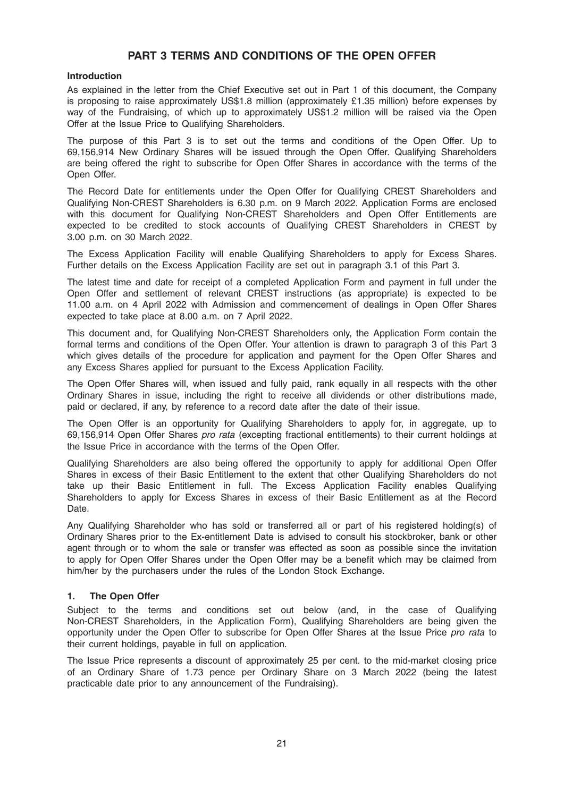# PART 3 TERMS AND CONDITIONS OF THE OPEN OFFER

#### Introduction

As explained in the letter from the Chief Executive set out in Part 1 of this document, the Company is proposing to raise approximately US\$1.8 million (approximately £1.35 million) before expenses by way of the Fundraising, of which up to approximately US\$1.2 million will be raised via the Open Offer at the Issue Price to Qualifying Shareholders.

The purpose of this Part 3 is to set out the terms and conditions of the Open Offer. Up to 69,156,914 New Ordinary Shares will be issued through the Open Offer. Qualifying Shareholders are being offered the right to subscribe for Open Offer Shares in accordance with the terms of the Open Offer.

The Record Date for entitlements under the Open Offer for Qualifying CREST Shareholders and Qualifying Non-CREST Shareholders is 6.30 p.m. on 9 March 2022. Application Forms are enclosed with this document for Qualifying Non-CREST Shareholders and Open Offer Entitlements are expected to be credited to stock accounts of Qualifying CREST Shareholders in CREST by 3.00 p.m. on 30 March 2022.

The Excess Application Facility will enable Qualifying Shareholders to apply for Excess Shares. Further details on the Excess Application Facility are set out in paragraph 3.1 of this Part 3.

The latest time and date for receipt of a completed Application Form and payment in full under the Open Offer and settlement of relevant CREST instructions (as appropriate) is expected to be 11.00 a.m. on 4 April 2022 with Admission and commencement of dealings in Open Offer Shares expected to take place at 8.00 a.m. on 7 April 2022.

This document and, for Qualifying Non-CREST Shareholders only, the Application Form contain the formal terms and conditions of the Open Offer. Your attention is drawn to paragraph 3 of this Part 3 which gives details of the procedure for application and payment for the Open Offer Shares and any Excess Shares applied for pursuant to the Excess Application Facility.

The Open Offer Shares will, when issued and fully paid, rank equally in all respects with the other Ordinary Shares in issue, including the right to receive all dividends or other distributions made, paid or declared, if any, by reference to a record date after the date of their issue.

The Open Offer is an opportunity for Qualifying Shareholders to apply for, in aggregate, up to 69,156,914 Open Offer Shares pro rata (excepting fractional entitlements) to their current holdings at the Issue Price in accordance with the terms of the Open Offer.

Qualifying Shareholders are also being offered the opportunity to apply for additional Open Offer Shares in excess of their Basic Entitlement to the extent that other Qualifying Shareholders do not take up their Basic Entitlement in full. The Excess Application Facility enables Qualifying Shareholders to apply for Excess Shares in excess of their Basic Entitlement as at the Record Date.

Any Qualifying Shareholder who has sold or transferred all or part of his registered holding(s) of Ordinary Shares prior to the Ex-entitlement Date is advised to consult his stockbroker, bank or other agent through or to whom the sale or transfer was effected as soon as possible since the invitation to apply for Open Offer Shares under the Open Offer may be a benefit which may be claimed from him/her by the purchasers under the rules of the London Stock Exchange.

# 1. The Open Offer

Subject to the terms and conditions set out below (and, in the case of Qualifying Non-CREST Shareholders, in the Application Form), Qualifying Shareholders are being given the opportunity under the Open Offer to subscribe for Open Offer Shares at the Issue Price pro rata to their current holdings, payable in full on application.

The Issue Price represents a discount of approximately 25 per cent. to the mid-market closing price of an Ordinary Share of 1.73 pence per Ordinary Share on 3 March 2022 (being the latest practicable date prior to any announcement of the Fundraising).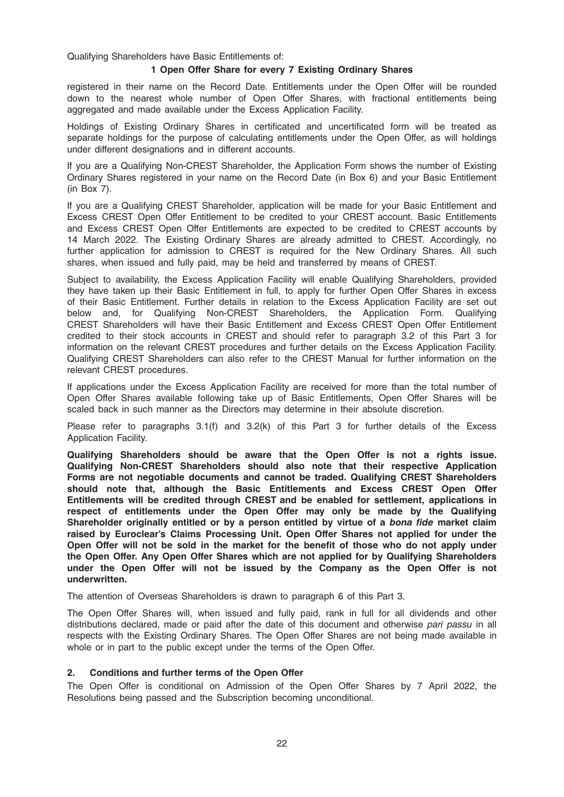Qualifying Shareholders have Basic Entitlements of:

#### 1 Open Offer Share for every 7 Existing Ordinary Shares

registered in their name on the Record Date. Entitlements under the Open Offer will be rounded down to the nearest whole number of Open Offer Shares, with fractional entitlements being aggregated and made available under the Excess Application Facility.

Holdings of Existing Ordinary Shares in certificated and uncertificated form will be treated as separate holdings for the purpose of calculating entitlements under the Open Offer, as will holdings under different designations and in different accounts.

If you are a Qualifying Non-CREST Shareholder, the Application Form shows the number of Existing Ordinary Shares registered in your name on the Record Date (in Box 6) and your Basic Entitlement (in Box 7).

If you are a Qualifying CREST Shareholder, application will be made for your Basic Entitlement and Excess CREST Open Offer Entitlement to be credited to your CREST account. Basic Entitlements and Excess CREST Open Offer Entitlements are expected to be credited to CREST accounts by 14 March 2022. The Existing Ordinary Shares are already admitted to CREST. Accordingly, no further application for admission to CREST is required for the New Ordinary Shares. All such shares, when issued and fully paid, may be held and transferred by means of CREST.

Subject to availability, the Excess Application Facility will enable Qualifying Shareholders, provided they have taken up their Basic Entitlement in full, to apply for further Open Offer Shares in excess of their Basic Entitlement. Further details in relation to the Excess Application Facility are set out below and, for Qualifying Non-CREST Shareholders, the Application Form. Qualifying CREST Shareholders will have their Basic Entitlement and Excess CREST Open Offer Entitlement credited to their stock accounts in CREST and should refer to paragraph 3.2 of this Part 3 for information on the relevant CREST procedures and further details on the Excess Application Facility. Qualifying CREST Shareholders can also refer to the CREST Manual for further information on the relevant CREST procedures.

If applications under the Excess Application Facility are received for more than the total number of Open Offer Shares available following take up of Basic Entitlements, Open Offer Shares will be scaled back in such manner as the Directors may determine in their absolute discretion.

Please refer to paragraphs 3.1(f) and 3.2(k) of this Part 3 for further details of the Excess Application Facility.

Qualifying Shareholders should be aware that the Open Offer is not a rights issue. Qualifying Non-CREST Shareholders should also note that their respective Application Forms are not negotiable documents and cannot be traded. Qualifying CREST Shareholders should note that, although the Basic Entitlements and Excess CREST Open Offer Entitlements will be credited through CREST and be enabled for settlement, applications in respect of entitlements under the Open Offer may only be made by the Qualifying Shareholder originally entitled or by a person entitled by virtue of a bona fide market claim raised by Euroclear's Claims Processing Unit. Open Offer Shares not applied for under the Open Offer will not be sold in the market for the benefit of those who do not apply under the Open Offer. Any Open Offer Shares which are not applied for by Qualifying Shareholders under the Open Offer will not be issued by the Company as the Open Offer is not underwritten.

The attention of Overseas Shareholders is drawn to paragraph 6 of this Part 3.

The Open Offer Shares will, when issued and fully paid, rank in full for all dividends and other distributions declared, made or paid after the date of this document and otherwise pari passu in all respects with the Existing Ordinary Shares. The Open Offer Shares are not being made available in whole or in part to the public except under the terms of the Open Offer.

#### 2. Conditions and further terms of the Open Offer

The Open Offer is conditional on Admission of the Open Offer Shares by 7 April 2022, the Resolutions being passed and the Subscription becoming unconditional.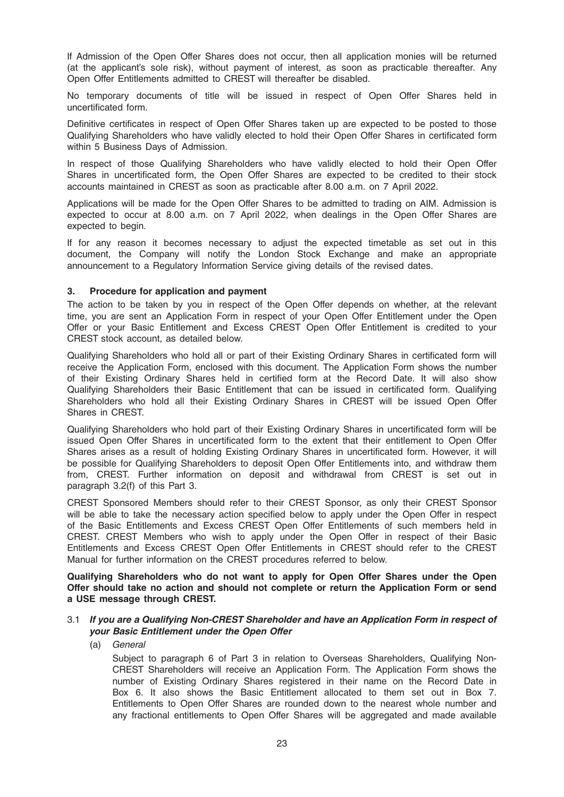If Admission of the Open Offer Shares does not occur, then all application monies will be returned (at the applicant's sole risk), without payment of interest, as soon as practicable thereafter. Any Open Offer Entitlements admitted to CREST will thereafter be disabled.

No temporary documents of title will be issued in respect of Open Offer Shares held in uncertificated form.

Definitive certificates in respect of Open Offer Shares taken up are expected to be posted to those Qualifying Shareholders who have validly elected to hold their Open Offer Shares in certificated form within 5 Business Days of Admission.

In respect of those Qualifying Shareholders who have validly elected to hold their Open Offer Shares in uncertificated form, the Open Offer Shares are expected to be credited to their stock accounts maintained in CREST as soon as practicable after 8.00 a.m. on 7 April 2022.

Applications will be made for the Open Offer Shares to be admitted to trading on AIM. Admission is expected to occur at 8.00 a.m. on 7 April 2022, when dealings in the Open Offer Shares are expected to begin.

If for any reason it becomes necessary to adjust the expected timetable as set out in this document, the Company will notify the London Stock Exchange and make an appropriate announcement to a Regulatory Information Service giving details of the revised dates.

# 3. Procedure for application and payment

The action to be taken by you in respect of the Open Offer depends on whether, at the relevant time, you are sent an Application Form in respect of your Open Offer Entitlement under the Open Offer or your Basic Entitlement and Excess CREST Open Offer Entitlement is credited to your CREST stock account, as detailed below.

Qualifying Shareholders who hold all or part of their Existing Ordinary Shares in certificated form will receive the Application Form, enclosed with this document. The Application Form shows the number of their Existing Ordinary Shares held in certified form at the Record Date. It will also show Qualifying Shareholders their Basic Entitlement that can be issued in certificated form. Qualifying Shareholders who hold all their Existing Ordinary Shares in CREST will be issued Open Offer Shares in CREST.

Qualifying Shareholders who hold part of their Existing Ordinary Shares in uncertificated form will be issued Open Offer Shares in uncertificated form to the extent that their entitlement to Open Offer Shares arises as a result of holding Existing Ordinary Shares in uncertificated form. However, it will be possible for Qualifying Shareholders to deposit Open Offer Entitlements into, and withdraw them from, CREST. Further information on deposit and withdrawal from CREST is set out in paragraph 3.2(f) of this Part 3.

CREST Sponsored Members should refer to their CREST Sponsor, as only their CREST Sponsor will be able to take the necessary action specified below to apply under the Open Offer in respect of the Basic Entitlements and Excess CREST Open Offer Entitlements of such members held in CREST. CREST Members who wish to apply under the Open Offer in respect of their Basic Entitlements and Excess CREST Open Offer Entitlements in CREST should refer to the CREST Manual for further information on the CREST procedures referred to below.

Qualifying Shareholders who do not want to apply for Open Offer Shares under the Open Offer should take no action and should not complete or return the Application Form or send a USE message through CREST.

#### 3.1 If you are a Qualifying Non-CREST Shareholder and have an Application Form in respect of your Basic Entitlement under the Open Offer

(a) General

Subject to paragraph 6 of Part 3 in relation to Overseas Shareholders, Qualifying Non-CREST Shareholders will receive an Application Form. The Application Form shows the number of Existing Ordinary Shares registered in their name on the Record Date in Box 6. It also shows the Basic Entitlement allocated to them set out in Box 7. Entitlements to Open Offer Shares are rounded down to the nearest whole number and any fractional entitlements to Open Offer Shares will be aggregated and made available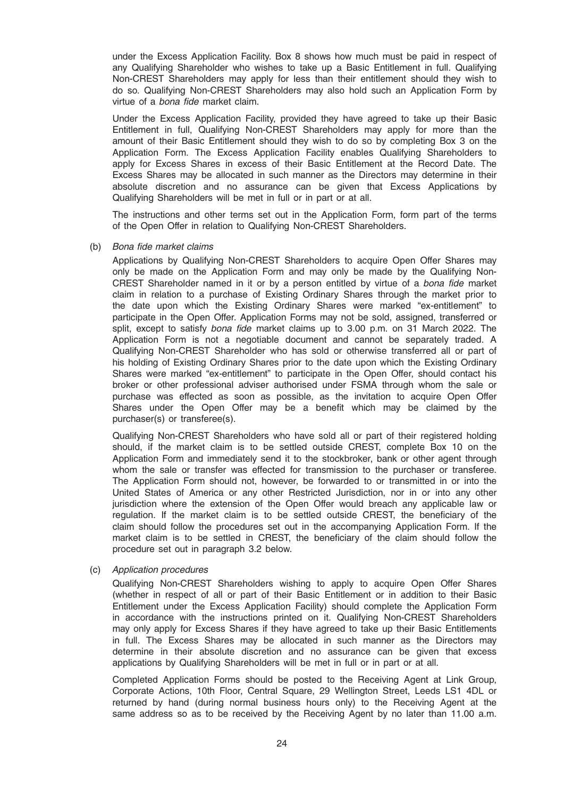under the Excess Application Facility. Box 8 shows how much must be paid in respect of any Qualifying Shareholder who wishes to take up a Basic Entitlement in full. Qualifying Non-CREST Shareholders may apply for less than their entitlement should they wish to do so. Qualifying Non-CREST Shareholders may also hold such an Application Form by virtue of a bona fide market claim.

Under the Excess Application Facility, provided they have agreed to take up their Basic Entitlement in full, Qualifying Non-CREST Shareholders may apply for more than the amount of their Basic Entitlement should they wish to do so by completing Box 3 on the Application Form. The Excess Application Facility enables Qualifying Shareholders to apply for Excess Shares in excess of their Basic Entitlement at the Record Date. The Excess Shares may be allocated in such manner as the Directors may determine in their absolute discretion and no assurance can be given that Excess Applications by Qualifying Shareholders will be met in full or in part or at all.

The instructions and other terms set out in the Application Form, form part of the terms of the Open Offer in relation to Qualifying Non-CREST Shareholders.

#### (b) Bona fide market claims

Applications by Qualifying Non-CREST Shareholders to acquire Open Offer Shares may only be made on the Application Form and may only be made by the Qualifying Non-CREST Shareholder named in it or by a person entitled by virtue of a bona fide market claim in relation to a purchase of Existing Ordinary Shares through the market prior to the date upon which the Existing Ordinary Shares were marked "ex-entitlement" to participate in the Open Offer. Application Forms may not be sold, assigned, transferred or split, except to satisfy *bona fide* market claims up to 3.00 p.m. on 31 March 2022. The Application Form is not a negotiable document and cannot be separately traded. A Qualifying Non-CREST Shareholder who has sold or otherwise transferred all or part of his holding of Existing Ordinary Shares prior to the date upon which the Existing Ordinary Shares were marked "ex-entitlement" to participate in the Open Offer, should contact his broker or other professional adviser authorised under FSMA through whom the sale or purchase was effected as soon as possible, as the invitation to acquire Open Offer Shares under the Open Offer may be a benefit which may be claimed by the purchaser(s) or transferee(s).

Qualifying Non-CREST Shareholders who have sold all or part of their registered holding should, if the market claim is to be settled outside CREST, complete Box 10 on the Application Form and immediately send it to the stockbroker, bank or other agent through whom the sale or transfer was effected for transmission to the purchaser or transferee. The Application Form should not, however, be forwarded to or transmitted in or into the United States of America or any other Restricted Jurisdiction, nor in or into any other jurisdiction where the extension of the Open Offer would breach any applicable law or regulation. If the market claim is to be settled outside CREST, the beneficiary of the claim should follow the procedures set out in the accompanying Application Form. If the market claim is to be settled in CREST, the beneficiary of the claim should follow the procedure set out in paragraph 3.2 below.

#### (c) Application procedures

Qualifying Non-CREST Shareholders wishing to apply to acquire Open Offer Shares (whether in respect of all or part of their Basic Entitlement or in addition to their Basic Entitlement under the Excess Application Facility) should complete the Application Form in accordance with the instructions printed on it. Qualifying Non-CREST Shareholders may only apply for Excess Shares if they have agreed to take up their Basic Entitlements in full. The Excess Shares may be allocated in such manner as the Directors may determine in their absolute discretion and no assurance can be given that excess applications by Qualifying Shareholders will be met in full or in part or at all.

Completed Application Forms should be posted to the Receiving Agent at Link Group, Corporate Actions, 10th Floor, Central Square, 29 Wellington Street, Leeds LS1 4DL or returned by hand (during normal business hours only) to the Receiving Agent at the same address so as to be received by the Receiving Agent by no later than 11.00 a.m.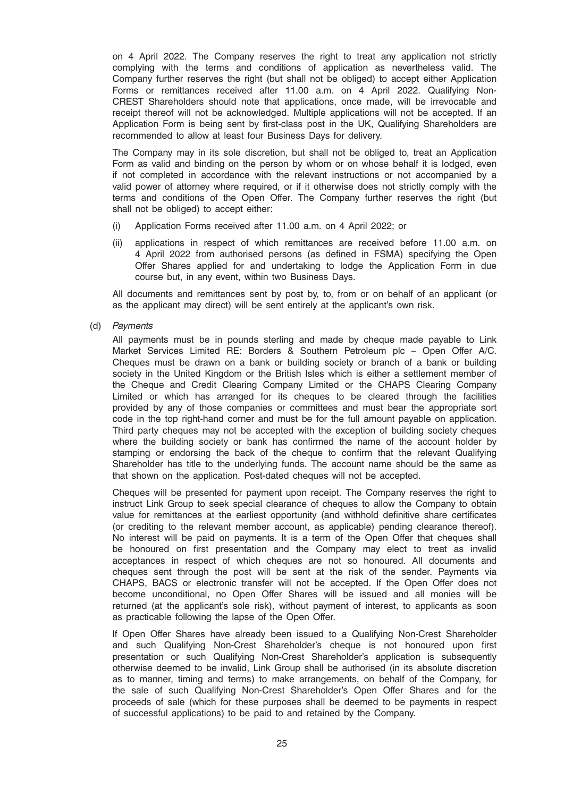on 4 April 2022. The Company reserves the right to treat any application not strictly complying with the terms and conditions of application as nevertheless valid. The Company further reserves the right (but shall not be obliged) to accept either Application Forms or remittances received after 11.00 a.m. on 4 April 2022. Qualifying Non-CREST Shareholders should note that applications, once made, will be irrevocable and receipt thereof will not be acknowledged. Multiple applications will not be accepted. If an Application Form is being sent by first-class post in the UK, Qualifying Shareholders are recommended to allow at least four Business Days for delivery.

The Company may in its sole discretion, but shall not be obliged to, treat an Application Form as valid and binding on the person by whom or on whose behalf it is lodged, even if not completed in accordance with the relevant instructions or not accompanied by a valid power of attorney where required, or if it otherwise does not strictly comply with the terms and conditions of the Open Offer. The Company further reserves the right (but shall not be obliged) to accept either:

- (i) Application Forms received after 11.00 a.m. on 4 April 2022; or
- (ii) applications in respect of which remittances are received before 11.00 a.m. on 4 April 2022 from authorised persons (as defined in FSMA) specifying the Open Offer Shares applied for and undertaking to lodge the Application Form in due course but, in any event, within two Business Days.

All documents and remittances sent by post by, to, from or on behalf of an applicant (or as the applicant may direct) will be sent entirely at the applicant's own risk.

(d) Payments

All payments must be in pounds sterling and made by cheque made payable to Link Market Services Limited RE: Borders & Southern Petroleum plc – Open Offer A/C. Cheques must be drawn on a bank or building society or branch of a bank or building society in the United Kingdom or the British Isles which is either a settlement member of the Cheque and Credit Clearing Company Limited or the CHAPS Clearing Company Limited or which has arranged for its cheques to be cleared through the facilities provided by any of those companies or committees and must bear the appropriate sort code in the top right-hand corner and must be for the full amount payable on application. Third party cheques may not be accepted with the exception of building society cheques where the building society or bank has confirmed the name of the account holder by stamping or endorsing the back of the cheque to confirm that the relevant Qualifying Shareholder has title to the underlying funds. The account name should be the same as that shown on the application. Post-dated cheques will not be accepted.

Cheques will be presented for payment upon receipt. The Company reserves the right to instruct Link Group to seek special clearance of cheques to allow the Company to obtain value for remittances at the earliest opportunity (and withhold definitive share certificates (or crediting to the relevant member account, as applicable) pending clearance thereof). No interest will be paid on payments. It is a term of the Open Offer that cheques shall be honoured on first presentation and the Company may elect to treat as invalid acceptances in respect of which cheques are not so honoured. All documents and cheques sent through the post will be sent at the risk of the sender. Payments via CHAPS, BACS or electronic transfer will not be accepted. If the Open Offer does not become unconditional, no Open Offer Shares will be issued and all monies will be returned (at the applicant's sole risk), without payment of interest, to applicants as soon as practicable following the lapse of the Open Offer.

If Open Offer Shares have already been issued to a Qualifying Non-Crest Shareholder and such Qualifying Non-Crest Shareholder's cheque is not honoured upon first presentation or such Qualifying Non-Crest Shareholder's application is subsequently otherwise deemed to be invalid, Link Group shall be authorised (in its absolute discretion as to manner, timing and terms) to make arrangements, on behalf of the Company, for the sale of such Qualifying Non-Crest Shareholder's Open Offer Shares and for the proceeds of sale (which for these purposes shall be deemed to be payments in respect of successful applications) to be paid to and retained by the Company.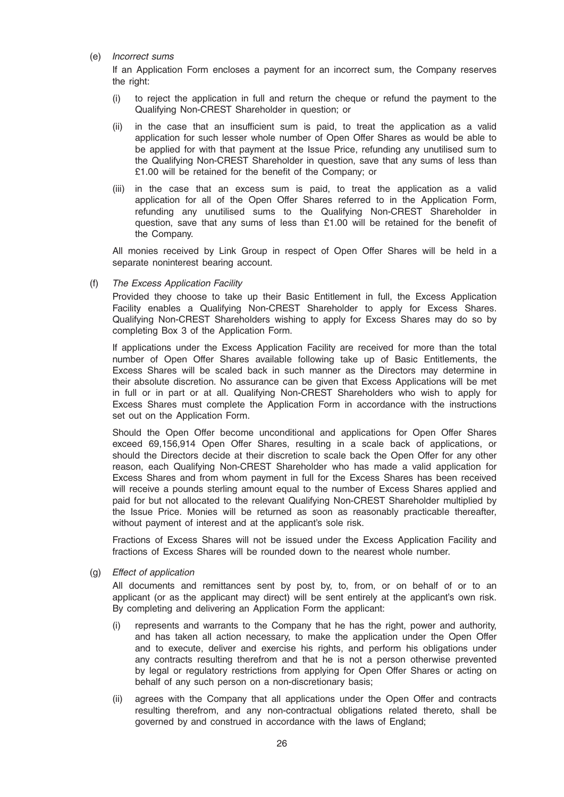### (e) Incorrect sums

If an Application Form encloses a payment for an incorrect sum, the Company reserves the right:

- (i) to reject the application in full and return the cheque or refund the payment to the Qualifying Non-CREST Shareholder in question; or
- (ii) in the case that an insufficient sum is paid, to treat the application as a valid application for such lesser whole number of Open Offer Shares as would be able to be applied for with that payment at the Issue Price, refunding any unutilised sum to the Qualifying Non-CREST Shareholder in question, save that any sums of less than £1.00 will be retained for the benefit of the Company; or
- (iii) in the case that an excess sum is paid, to treat the application as a valid application for all of the Open Offer Shares referred to in the Application Form, refunding any unutilised sums to the Qualifying Non-CREST Shareholder in question, save that any sums of less than £1.00 will be retained for the benefit of the Company.

All monies received by Link Group in respect of Open Offer Shares will be held in a separate noninterest bearing account.

#### (f) The Excess Application Facility

Provided they choose to take up their Basic Entitlement in full, the Excess Application Facility enables a Qualifying Non-CREST Shareholder to apply for Excess Shares. Qualifying Non-CREST Shareholders wishing to apply for Excess Shares may do so by completing Box 3 of the Application Form.

If applications under the Excess Application Facility are received for more than the total number of Open Offer Shares available following take up of Basic Entitlements, the Excess Shares will be scaled back in such manner as the Directors may determine in their absolute discretion. No assurance can be given that Excess Applications will be met in full or in part or at all. Qualifying Non-CREST Shareholders who wish to apply for Excess Shares must complete the Application Form in accordance with the instructions set out on the Application Form.

Should the Open Offer become unconditional and applications for Open Offer Shares exceed 69,156,914 Open Offer Shares, resulting in a scale back of applications, or should the Directors decide at their discretion to scale back the Open Offer for any other reason, each Qualifying Non-CREST Shareholder who has made a valid application for Excess Shares and from whom payment in full for the Excess Shares has been received will receive a pounds sterling amount equal to the number of Excess Shares applied and paid for but not allocated to the relevant Qualifying Non-CREST Shareholder multiplied by the Issue Price. Monies will be returned as soon as reasonably practicable thereafter, without payment of interest and at the applicant's sole risk.

Fractions of Excess Shares will not be issued under the Excess Application Facility and fractions of Excess Shares will be rounded down to the nearest whole number.

(g) Effect of application

All documents and remittances sent by post by, to, from, or on behalf of or to an applicant (or as the applicant may direct) will be sent entirely at the applicant's own risk. By completing and delivering an Application Form the applicant:

- (i) represents and warrants to the Company that he has the right, power and authority, and has taken all action necessary, to make the application under the Open Offer and to execute, deliver and exercise his rights, and perform his obligations under any contracts resulting therefrom and that he is not a person otherwise prevented by legal or regulatory restrictions from applying for Open Offer Shares or acting on behalf of any such person on a non-discretionary basis;
- (ii) agrees with the Company that all applications under the Open Offer and contracts resulting therefrom, and any non-contractual obligations related thereto, shall be governed by and construed in accordance with the laws of England;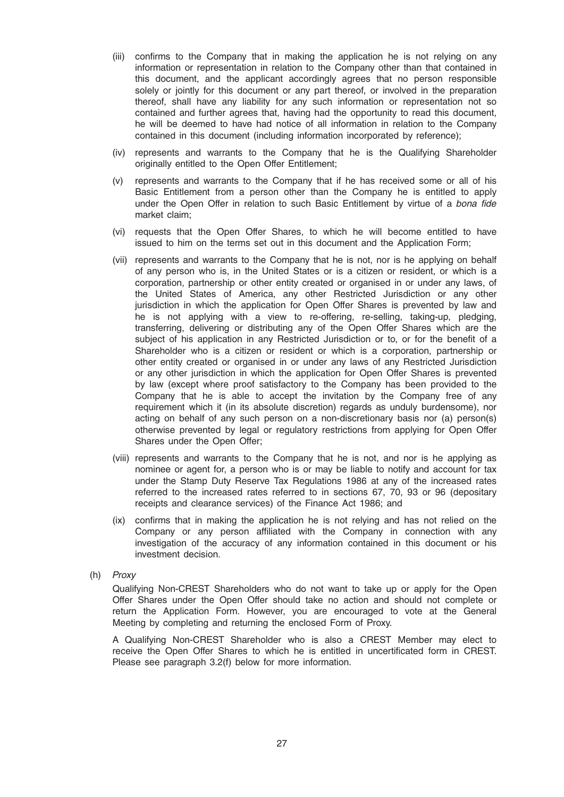- (iii) confirms to the Company that in making the application he is not relying on any information or representation in relation to the Company other than that contained in this document, and the applicant accordingly agrees that no person responsible solely or jointly for this document or any part thereof, or involved in the preparation thereof, shall have any liability for any such information or representation not so contained and further agrees that, having had the opportunity to read this document, he will be deemed to have had notice of all information in relation to the Company contained in this document (including information incorporated by reference);
- (iv) represents and warrants to the Company that he is the Qualifying Shareholder originally entitled to the Open Offer Entitlement;
- (v) represents and warrants to the Company that if he has received some or all of his Basic Entitlement from a person other than the Company he is entitled to apply under the Open Offer in relation to such Basic Entitlement by virtue of a bona fide market claim;
- (vi) requests that the Open Offer Shares, to which he will become entitled to have issued to him on the terms set out in this document and the Application Form;
- (vii) represents and warrants to the Company that he is not, nor is he applying on behalf of any person who is, in the United States or is a citizen or resident, or which is a corporation, partnership or other entity created or organised in or under any laws, of the United States of America, any other Restricted Jurisdiction or any other jurisdiction in which the application for Open Offer Shares is prevented by law and he is not applying with a view to re-offering, re-selling, taking-up, pledging, transferring, delivering or distributing any of the Open Offer Shares which are the subject of his application in any Restricted Jurisdiction or to, or for the benefit of a Shareholder who is a citizen or resident or which is a corporation, partnership or other entity created or organised in or under any laws of any Restricted Jurisdiction or any other jurisdiction in which the application for Open Offer Shares is prevented by law (except where proof satisfactory to the Company has been provided to the Company that he is able to accept the invitation by the Company free of any requirement which it (in its absolute discretion) regards as unduly burdensome), nor acting on behalf of any such person on a non-discretionary basis nor (a) person(s) otherwise prevented by legal or regulatory restrictions from applying for Open Offer Shares under the Open Offer;
- (viii) represents and warrants to the Company that he is not, and nor is he applying as nominee or agent for, a person who is or may be liable to notify and account for tax under the Stamp Duty Reserve Tax Regulations 1986 at any of the increased rates referred to the increased rates referred to in sections 67, 70, 93 or 96 (depositary receipts and clearance services) of the Finance Act 1986; and
- (ix) confirms that in making the application he is not relying and has not relied on the Company or any person affiliated with the Company in connection with any investigation of the accuracy of any information contained in this document or his investment decision.
- (h) Proxy

Qualifying Non-CREST Shareholders who do not want to take up or apply for the Open Offer Shares under the Open Offer should take no action and should not complete or return the Application Form. However, you are encouraged to vote at the General Meeting by completing and returning the enclosed Form of Proxy.

A Qualifying Non-CREST Shareholder who is also a CREST Member may elect to receive the Open Offer Shares to which he is entitled in uncertificated form in CREST. Please see paragraph 3.2(f) below for more information.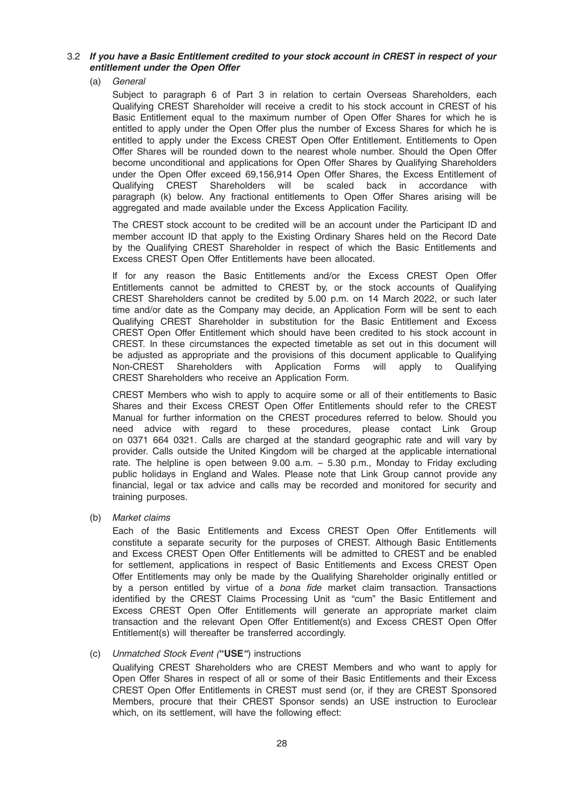# 3.2 If you have a Basic Entitlement credited to your stock account in CREST in respect of your entitlement under the Open Offer

(a) General

Subject to paragraph 6 of Part 3 in relation to certain Overseas Shareholders, each Qualifying CREST Shareholder will receive a credit to his stock account in CREST of his Basic Entitlement equal to the maximum number of Open Offer Shares for which he is entitled to apply under the Open Offer plus the number of Excess Shares for which he is entitled to apply under the Excess CREST Open Offer Entitlement. Entitlements to Open Offer Shares will be rounded down to the nearest whole number. Should the Open Offer become unconditional and applications for Open Offer Shares by Qualifying Shareholders under the Open Offer exceed 69,156,914 Open Offer Shares, the Excess Entitlement of Qualifying CREST Shareholders will be scaled back in accordance with paragraph (k) below. Any fractional entitlements to Open Offer Shares arising will be aggregated and made available under the Excess Application Facility.

The CREST stock account to be credited will be an account under the Participant ID and member account ID that apply to the Existing Ordinary Shares held on the Record Date by the Qualifying CREST Shareholder in respect of which the Basic Entitlements and Excess CREST Open Offer Entitlements have been allocated.

If for any reason the Basic Entitlements and/or the Excess CREST Open Offer Entitlements cannot be admitted to CREST by, or the stock accounts of Qualifying CREST Shareholders cannot be credited by 5.00 p.m. on 14 March 2022, or such later time and/or date as the Company may decide, an Application Form will be sent to each Qualifying CREST Shareholder in substitution for the Basic Entitlement and Excess CREST Open Offer Entitlement which should have been credited to his stock account in CREST. In these circumstances the expected timetable as set out in this document will be adjusted as appropriate and the provisions of this document applicable to Qualifying Non-CREST Shareholders with Application Forms will apply to Qualifying CREST Shareholders who receive an Application Form.

CREST Members who wish to apply to acquire some or all of their entitlements to Basic Shares and their Excess CREST Open Offer Entitlements should refer to the CREST Manual for further information on the CREST procedures referred to below. Should you need advice with regard to these procedures, please contact Link Group on 0371 664 0321. Calls are charged at the standard geographic rate and will vary by provider. Calls outside the United Kingdom will be charged at the applicable international rate. The helpline is open between 9.00 a.m. – 5.30 p.m., Monday to Friday excluding public holidays in England and Wales. Please note that Link Group cannot provide any financial, legal or tax advice and calls may be recorded and monitored for security and training purposes.

(b) Market claims

Each of the Basic Entitlements and Excess CREST Open Offer Entitlements will constitute a separate security for the purposes of CREST. Although Basic Entitlements and Excess CREST Open Offer Entitlements will be admitted to CREST and be enabled for settlement, applications in respect of Basic Entitlements and Excess CREST Open Offer Entitlements may only be made by the Qualifying Shareholder originally entitled or by a person entitled by virtue of a *bona fide* market claim transaction. Transactions identified by the CREST Claims Processing Unit as "cum" the Basic Entitlement and Excess CREST Open Offer Entitlements will generate an appropriate market claim transaction and the relevant Open Offer Entitlement(s) and Excess CREST Open Offer Entitlement(s) will thereafter be transferred accordingly.

#### (c) Unmatched Stock Event ("USE") instructions

Qualifying CREST Shareholders who are CREST Members and who want to apply for Open Offer Shares in respect of all or some of their Basic Entitlements and their Excess CREST Open Offer Entitlements in CREST must send (or, if they are CREST Sponsored Members, procure that their CREST Sponsor sends) an USE instruction to Euroclear which, on its settlement, will have the following effect: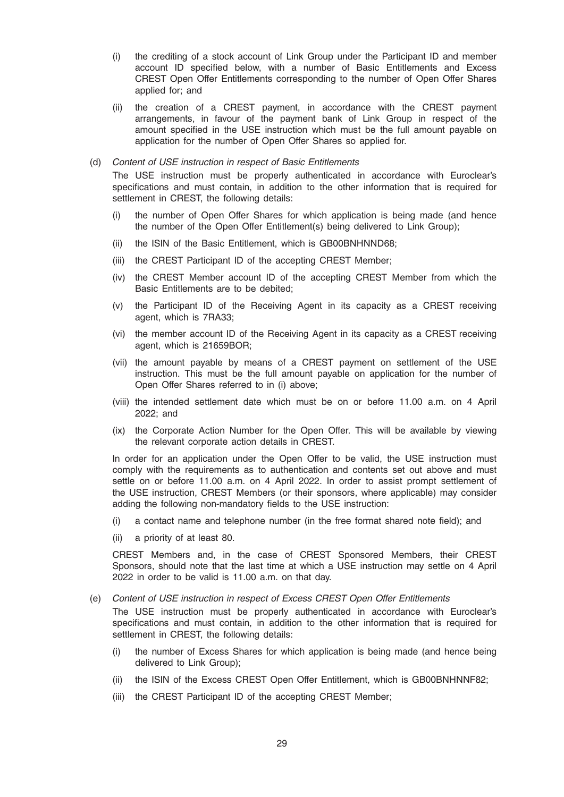- (i) the crediting of a stock account of Link Group under the Participant ID and member account ID specified below, with a number of Basic Entitlements and Excess CREST Open Offer Entitlements corresponding to the number of Open Offer Shares applied for; and
- (ii) the creation of a CREST payment, in accordance with the CREST payment arrangements, in favour of the payment bank of Link Group in respect of the amount specified in the USE instruction which must be the full amount payable on application for the number of Open Offer Shares so applied for.

#### (d) Content of USE instruction in respect of Basic Entitlements

The USE instruction must be properly authenticated in accordance with Euroclear's specifications and must contain, in addition to the other information that is required for settlement in CREST, the following details:

- (i) the number of Open Offer Shares for which application is being made (and hence the number of the Open Offer Entitlement(s) being delivered to Link Group);
- (ii) the ISIN of the Basic Entitlement, which is GB00BNHNND68;
- (iii) the CREST Participant ID of the accepting CREST Member;
- (iv) the CREST Member account ID of the accepting CREST Member from which the Basic Entitlements are to be debited;
- (v) the Participant ID of the Receiving Agent in its capacity as a CREST receiving agent, which is 7RA33;
- (vi) the member account ID of the Receiving Agent in its capacity as a CREST receiving agent, which is 21659BOR;
- (vii) the amount payable by means of a CREST payment on settlement of the USE instruction. This must be the full amount payable on application for the number of Open Offer Shares referred to in (i) above;
- (viii) the intended settlement date which must be on or before 11.00 a.m. on 4 April 2022; and
- (ix) the Corporate Action Number for the Open Offer. This will be available by viewing the relevant corporate action details in CREST.

In order for an application under the Open Offer to be valid, the USE instruction must comply with the requirements as to authentication and contents set out above and must settle on or before 11.00 a.m. on 4 April 2022. In order to assist prompt settlement of the USE instruction, CREST Members (or their sponsors, where applicable) may consider adding the following non-mandatory fields to the USE instruction:

- (i) a contact name and telephone number (in the free format shared note field); and
- (ii) a priority of at least 80.

CREST Members and, in the case of CREST Sponsored Members, their CREST Sponsors, should note that the last time at which a USE instruction may settle on 4 April 2022 in order to be valid is 11.00 a.m. on that day.

#### (e) Content of USE instruction in respect of Excess CREST Open Offer Entitlements

The USE instruction must be properly authenticated in accordance with Euroclear's specifications and must contain, in addition to the other information that is required for settlement in CREST, the following details:

- (i) the number of Excess Shares for which application is being made (and hence being delivered to Link Group);
- (ii) the ISIN of the Excess CREST Open Offer Entitlement, which is GB00BNHNNF82;
- (iii) the CREST Participant ID of the accepting CREST Member;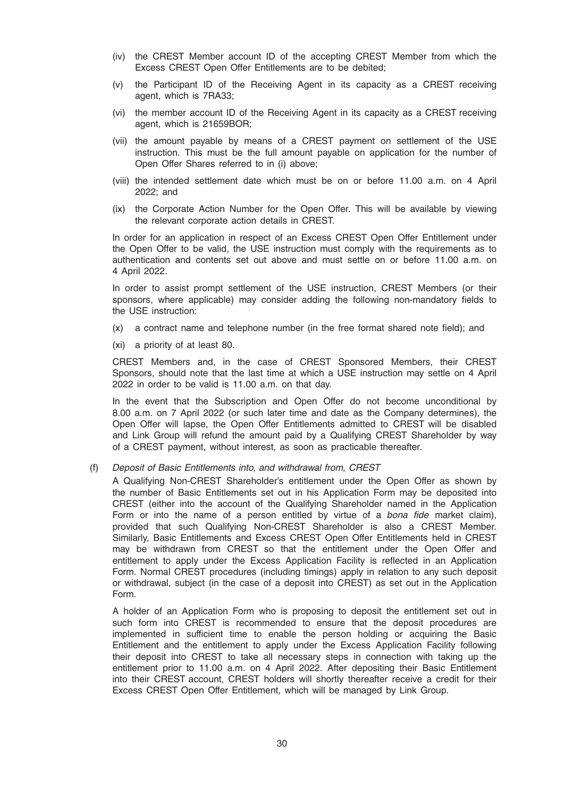- (iv) the CREST Member account ID of the accepting CREST Member from which the Excess CREST Open Offer Entitlements are to be debited;
- (v) the Participant ID of the Receiving Agent in its capacity as a CREST receiving agent, which is 7RA33;
- (vi) the member account ID of the Receiving Agent in its capacity as a CREST receiving agent, which is 21659BOR;
- (vii) the amount payable by means of a CREST payment on settlement of the USE instruction. This must be the full amount payable on application for the number of Open Offer Shares referred to in (i) above;
- (viii) the intended settlement date which must be on or before 11.00 a.m. on 4 April 2022; and
- (ix) the Corporate Action Number for the Open Offer. This will be available by viewing the relevant corporate action details in CREST.

In order for an application in respect of an Excess CREST Open Offer Entitlement under the Open Offer to be valid, the USE instruction must comply with the requirements as to authentication and contents set out above and must settle on or before 11.00 a.m. on 4 April 2022.

In order to assist prompt settlement of the USE instruction, CREST Members (or their sponsors, where applicable) may consider adding the following non-mandatory fields to the USE instruction:

- (x) a contract name and telephone number (in the free format shared note field); and
- (xi) a priority of at least 80.

CREST Members and, in the case of CREST Sponsored Members, their CREST Sponsors, should note that the last time at which a USE instruction may settle on 4 April 2022 in order to be valid is 11.00 a.m. on that day.

In the event that the Subscription and Open Offer do not become unconditional by 8.00 a.m. on 7 April 2022 (or such later time and date as the Company determines), the Open Offer will lapse, the Open Offer Entitlements admitted to CREST will be disabled and Link Group will refund the amount paid by a Qualifying CREST Shareholder by way of a CREST payment, without interest, as soon as practicable thereafter.

#### (f) Deposit of Basic Entitlements into, and withdrawal from, CREST

A Qualifying Non-CREST Shareholder's entitlement under the Open Offer as shown by the number of Basic Entitlements set out in his Application Form may be deposited into CREST (either into the account of the Qualifying Shareholder named in the Application Form or into the name of a person entitled by virtue of a bona fide market claim), provided that such Qualifying Non-CREST Shareholder is also a CREST Member. Similarly, Basic Entitlements and Excess CREST Open Offer Entitlements held in CREST may be withdrawn from CREST so that the entitlement under the Open Offer and entitlement to apply under the Excess Application Facility is reflected in an Application Form. Normal CREST procedures (including timings) apply in relation to any such deposit or withdrawal, subject (in the case of a deposit into CREST) as set out in the Application Form.

A holder of an Application Form who is proposing to deposit the entitlement set out in such form into CREST is recommended to ensure that the deposit procedures are implemented in sufficient time to enable the person holding or acquiring the Basic Entitlement and the entitlement to apply under the Excess Application Facility following their deposit into CREST to take all necessary steps in connection with taking up the entitlement prior to 11.00 a.m. on 4 April 2022. After depositing their Basic Entitlement into their CREST account, CREST holders will shortly thereafter receive a credit for their Excess CREST Open Offer Entitlement, which will be managed by Link Group.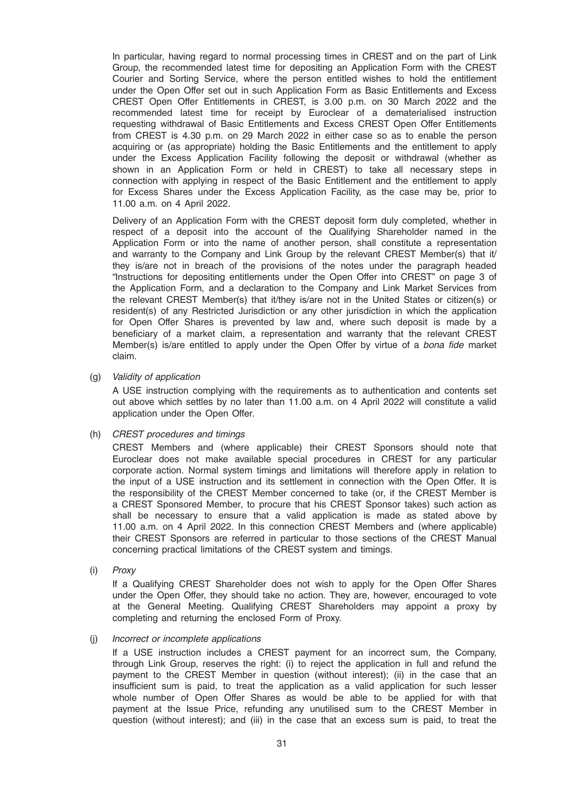In particular, having regard to normal processing times in CREST and on the part of Link Group, the recommended latest time for depositing an Application Form with the CREST Courier and Sorting Service, where the person entitled wishes to hold the entitlement under the Open Offer set out in such Application Form as Basic Entitlements and Excess CREST Open Offer Entitlements in CREST, is 3.00 p.m. on 30 March 2022 and the recommended latest time for receipt by Euroclear of a dematerialised instruction requesting withdrawal of Basic Entitlements and Excess CREST Open Offer Entitlements from CREST is 4.30 p.m. on 29 March 2022 in either case so as to enable the person acquiring or (as appropriate) holding the Basic Entitlements and the entitlement to apply under the Excess Application Facility following the deposit or withdrawal (whether as shown in an Application Form or held in CREST) to take all necessary steps in connection with applying in respect of the Basic Entitlement and the entitlement to apply for Excess Shares under the Excess Application Facility, as the case may be, prior to 11.00 a.m. on 4 April 2022.

Delivery of an Application Form with the CREST deposit form duly completed, whether in respect of a deposit into the account of the Qualifying Shareholder named in the Application Form or into the name of another person, shall constitute a representation and warranty to the Company and Link Group by the relevant CREST Member(s) that it/ they is/are not in breach of the provisions of the notes under the paragraph headed "Instructions for depositing entitlements under the Open Offer into CREST" on page 3 of the Application Form, and a declaration to the Company and Link Market Services from the relevant CREST Member(s) that it/they is/are not in the United States or citizen(s) or resident(s) of any Restricted Jurisdiction or any other jurisdiction in which the application for Open Offer Shares is prevented by law and, where such deposit is made by a beneficiary of a market claim, a representation and warranty that the relevant CREST Member(s) is/are entitled to apply under the Open Offer by virtue of a bona fide market claim.

(g) Validity of application

A USE instruction complying with the requirements as to authentication and contents set out above which settles by no later than 11.00 a.m. on 4 April 2022 will constitute a valid application under the Open Offer.

(h) CREST procedures and timings

CREST Members and (where applicable) their CREST Sponsors should note that Euroclear does not make available special procedures in CREST for any particular corporate action. Normal system timings and limitations will therefore apply in relation to the input of a USE instruction and its settlement in connection with the Open Offer. It is the responsibility of the CREST Member concerned to take (or, if the CREST Member is a CREST Sponsored Member, to procure that his CREST Sponsor takes) such action as shall be necessary to ensure that a valid application is made as stated above by 11.00 a.m. on 4 April 2022. In this connection CREST Members and (where applicable) their CREST Sponsors are referred in particular to those sections of the CREST Manual concerning practical limitations of the CREST system and timings.

(i) Proxy

If a Qualifying CREST Shareholder does not wish to apply for the Open Offer Shares under the Open Offer, they should take no action. They are, however, encouraged to vote at the General Meeting. Qualifying CREST Shareholders may appoint a proxy by completing and returning the enclosed Form of Proxy.

#### (j) Incorrect or incomplete applications

If a USE instruction includes a CREST payment for an incorrect sum, the Company, through Link Group, reserves the right: (i) to reject the application in full and refund the payment to the CREST Member in question (without interest); (ii) in the case that an insufficient sum is paid, to treat the application as a valid application for such lesser whole number of Open Offer Shares as would be able to be applied for with that payment at the Issue Price, refunding any unutilised sum to the CREST Member in question (without interest); and (iii) in the case that an excess sum is paid, to treat the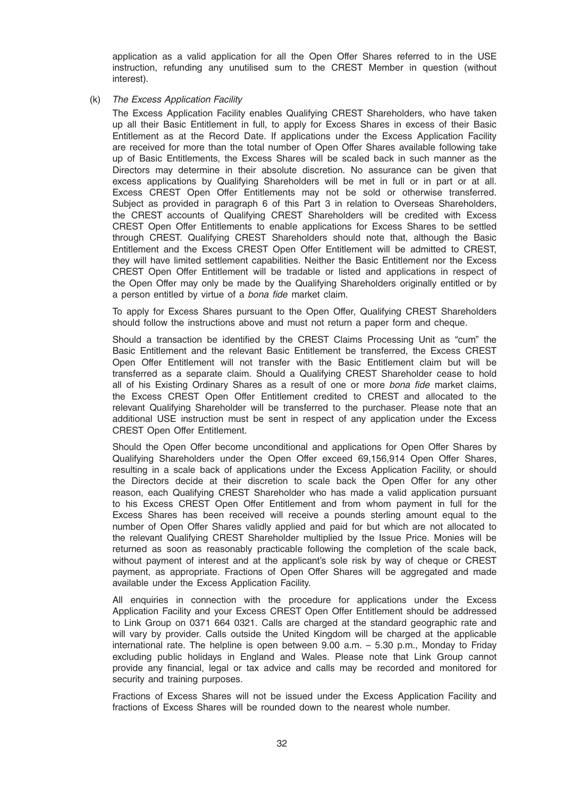application as a valid application for all the Open Offer Shares referred to in the USE instruction, refunding any unutilised sum to the CREST Member in question (without interest).

(k) The Excess Application Facility

The Excess Application Facility enables Qualifying CREST Shareholders, who have taken up all their Basic Entitlement in full, to apply for Excess Shares in excess of their Basic Entitlement as at the Record Date. If applications under the Excess Application Facility are received for more than the total number of Open Offer Shares available following take up of Basic Entitlements, the Excess Shares will be scaled back in such manner as the Directors may determine in their absolute discretion. No assurance can be given that excess applications by Qualifying Shareholders will be met in full or in part or at all. Excess CREST Open Offer Entitlements may not be sold or otherwise transferred. Subject as provided in paragraph 6 of this Part 3 in relation to Overseas Shareholders, the CREST accounts of Qualifying CREST Shareholders will be credited with Excess CREST Open Offer Entitlements to enable applications for Excess Shares to be settled through CREST. Qualifying CREST Shareholders should note that, although the Basic Entitlement and the Excess CREST Open Offer Entitlement will be admitted to CREST, they will have limited settlement capabilities. Neither the Basic Entitlement nor the Excess CREST Open Offer Entitlement will be tradable or listed and applications in respect of the Open Offer may only be made by the Qualifying Shareholders originally entitled or by a person entitled by virtue of a bona fide market claim.

To apply for Excess Shares pursuant to the Open Offer, Qualifying CREST Shareholders should follow the instructions above and must not return a paper form and cheque.

Should a transaction be identified by the CREST Claims Processing Unit as "cum" the Basic Entitlement and the relevant Basic Entitlement be transferred, the Excess CREST Open Offer Entitlement will not transfer with the Basic Entitlement claim but will be transferred as a separate claim. Should a Qualifying CREST Shareholder cease to hold all of his Existing Ordinary Shares as a result of one or more bona fide market claims, the Excess CREST Open Offer Entitlement credited to CREST and allocated to the relevant Qualifying Shareholder will be transferred to the purchaser. Please note that an additional USE instruction must be sent in respect of any application under the Excess CREST Open Offer Entitlement.

Should the Open Offer become unconditional and applications for Open Offer Shares by Qualifying Shareholders under the Open Offer exceed 69,156,914 Open Offer Shares, resulting in a scale back of applications under the Excess Application Facility, or should the Directors decide at their discretion to scale back the Open Offer for any other reason, each Qualifying CREST Shareholder who has made a valid application pursuant to his Excess CREST Open Offer Entitlement and from whom payment in full for the Excess Shares has been received will receive a pounds sterling amount equal to the number of Open Offer Shares validly applied and paid for but which are not allocated to the relevant Qualifying CREST Shareholder multiplied by the Issue Price. Monies will be returned as soon as reasonably practicable following the completion of the scale back, without payment of interest and at the applicant's sole risk by way of cheque or CREST payment, as appropriate. Fractions of Open Offer Shares will be aggregated and made available under the Excess Application Facility.

All enquiries in connection with the procedure for applications under the Excess Application Facility and your Excess CREST Open Offer Entitlement should be addressed to Link Group on 0371 664 0321. Calls are charged at the standard geographic rate and will vary by provider. Calls outside the United Kingdom will be charged at the applicable international rate. The helpline is open between 9.00 a.m. – 5.30 p.m., Monday to Friday excluding public holidays in England and Wales. Please note that Link Group cannot provide any financial, legal or tax advice and calls may be recorded and monitored for security and training purposes.

Fractions of Excess Shares will not be issued under the Excess Application Facility and fractions of Excess Shares will be rounded down to the nearest whole number.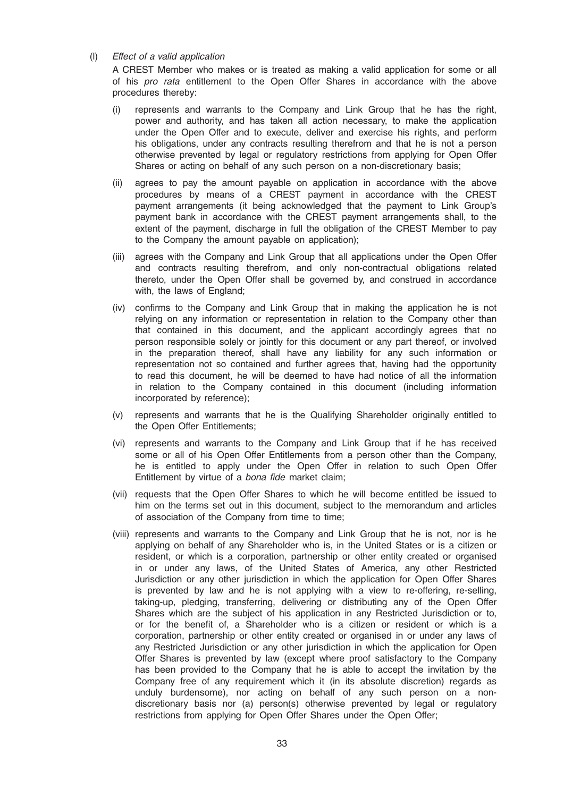#### (l) Effect of a valid application

A CREST Member who makes or is treated as making a valid application for some or all of his pro rata entitlement to the Open Offer Shares in accordance with the above procedures thereby:

- (i) represents and warrants to the Company and Link Group that he has the right, power and authority, and has taken all action necessary, to make the application under the Open Offer and to execute, deliver and exercise his rights, and perform his obligations, under any contracts resulting therefrom and that he is not a person otherwise prevented by legal or regulatory restrictions from applying for Open Offer Shares or acting on behalf of any such person on a non-discretionary basis;
- (ii) agrees to pay the amount payable on application in accordance with the above procedures by means of a CREST payment in accordance with the CREST payment arrangements (it being acknowledged that the payment to Link Group's payment bank in accordance with the CREST payment arrangements shall, to the extent of the payment, discharge in full the obligation of the CREST Member to pay to the Company the amount payable on application);
- (iii) agrees with the Company and Link Group that all applications under the Open Offer and contracts resulting therefrom, and only non-contractual obligations related thereto, under the Open Offer shall be governed by, and construed in accordance with, the laws of England;
- (iv) confirms to the Company and Link Group that in making the application he is not relying on any information or representation in relation to the Company other than that contained in this document, and the applicant accordingly agrees that no person responsible solely or jointly for this document or any part thereof, or involved in the preparation thereof, shall have any liability for any such information or representation not so contained and further agrees that, having had the opportunity to read this document, he will be deemed to have had notice of all the information in relation to the Company contained in this document (including information incorporated by reference);
- (v) represents and warrants that he is the Qualifying Shareholder originally entitled to the Open Offer Entitlements;
- (vi) represents and warrants to the Company and Link Group that if he has received some or all of his Open Offer Entitlements from a person other than the Company, he is entitled to apply under the Open Offer in relation to such Open Offer Entitlement by virtue of a bona fide market claim;
- (vii) requests that the Open Offer Shares to which he will become entitled be issued to him on the terms set out in this document, subject to the memorandum and articles of association of the Company from time to time;
- (viii) represents and warrants to the Company and Link Group that he is not, nor is he applying on behalf of any Shareholder who is, in the United States or is a citizen or resident, or which is a corporation, partnership or other entity created or organised in or under any laws, of the United States of America, any other Restricted Jurisdiction or any other jurisdiction in which the application for Open Offer Shares is prevented by law and he is not applying with a view to re-offering, re-selling, taking-up, pledging, transferring, delivering or distributing any of the Open Offer Shares which are the subject of his application in any Restricted Jurisdiction or to, or for the benefit of, a Shareholder who is a citizen or resident or which is a corporation, partnership or other entity created or organised in or under any laws of any Restricted Jurisdiction or any other jurisdiction in which the application for Open Offer Shares is prevented by law (except where proof satisfactory to the Company has been provided to the Company that he is able to accept the invitation by the Company free of any requirement which it (in its absolute discretion) regards as unduly burdensome), nor acting on behalf of any such person on a nondiscretionary basis nor (a) person(s) otherwise prevented by legal or regulatory restrictions from applying for Open Offer Shares under the Open Offer;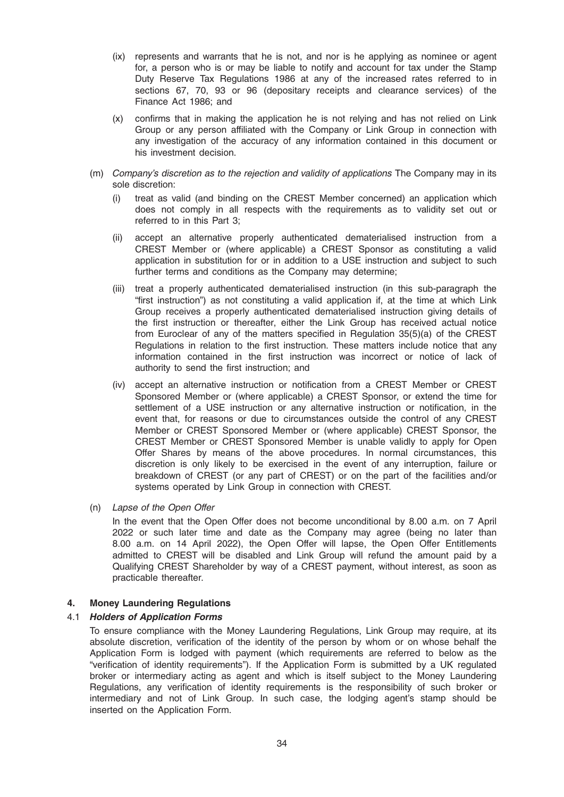- (ix) represents and warrants that he is not, and nor is he applying as nominee or agent for, a person who is or may be liable to notify and account for tax under the Stamp Duty Reserve Tax Regulations 1986 at any of the increased rates referred to in sections 67, 70, 93 or 96 (depositary receipts and clearance services) of the Finance Act 1986; and
- (x) confirms that in making the application he is not relying and has not relied on Link Group or any person affiliated with the Company or Link Group in connection with any investigation of the accuracy of any information contained in this document or his investment decision.
- (m) Company's discretion as to the rejection and validity of applications The Company may in its sole discretion:
	- (i) treat as valid (and binding on the CREST Member concerned) an application which does not comply in all respects with the requirements as to validity set out or referred to in this Part 3;
	- (ii) accept an alternative properly authenticated dematerialised instruction from a CREST Member or (where applicable) a CREST Sponsor as constituting a valid application in substitution for or in addition to a USE instruction and subject to such further terms and conditions as the Company may determine;
	- (iii) treat a properly authenticated dematerialised instruction (in this sub-paragraph the "first instruction") as not constituting a valid application if, at the time at which Link Group receives a properly authenticated dematerialised instruction giving details of the first instruction or thereafter, either the Link Group has received actual notice from Euroclear of any of the matters specified in Regulation 35(5)(a) of the CREST Regulations in relation to the first instruction. These matters include notice that any information contained in the first instruction was incorrect or notice of lack of authority to send the first instruction; and
	- (iv) accept an alternative instruction or notification from a CREST Member or CREST Sponsored Member or (where applicable) a CREST Sponsor, or extend the time for settlement of a USE instruction or any alternative instruction or notification, in the event that, for reasons or due to circumstances outside the control of any CREST Member or CREST Sponsored Member or (where applicable) CREST Sponsor, the CREST Member or CREST Sponsored Member is unable validly to apply for Open Offer Shares by means of the above procedures. In normal circumstances, this discretion is only likely to be exercised in the event of any interruption, failure or breakdown of CREST (or any part of CREST) or on the part of the facilities and/or systems operated by Link Group in connection with CREST.
- (n) Lapse of the Open Offer

In the event that the Open Offer does not become unconditional by 8.00 a.m. on 7 April 2022 or such later time and date as the Company may agree (being no later than 8.00 a.m. on 14 April 2022), the Open Offer will lapse, the Open Offer Entitlements admitted to CREST will be disabled and Link Group will refund the amount paid by a Qualifying CREST Shareholder by way of a CREST payment, without interest, as soon as practicable thereafter.

# 4. Money Laundering Regulations

# 4.1 Holders of Application Forms

To ensure compliance with the Money Laundering Regulations, Link Group may require, at its absolute discretion, verification of the identity of the person by whom or on whose behalf the Application Form is lodged with payment (which requirements are referred to below as the "verification of identity requirements"). If the Application Form is submitted by a UK regulated broker or intermediary acting as agent and which is itself subject to the Money Laundering Regulations, any verification of identity requirements is the responsibility of such broker or intermediary and not of Link Group. In such case, the lodging agent's stamp should be inserted on the Application Form.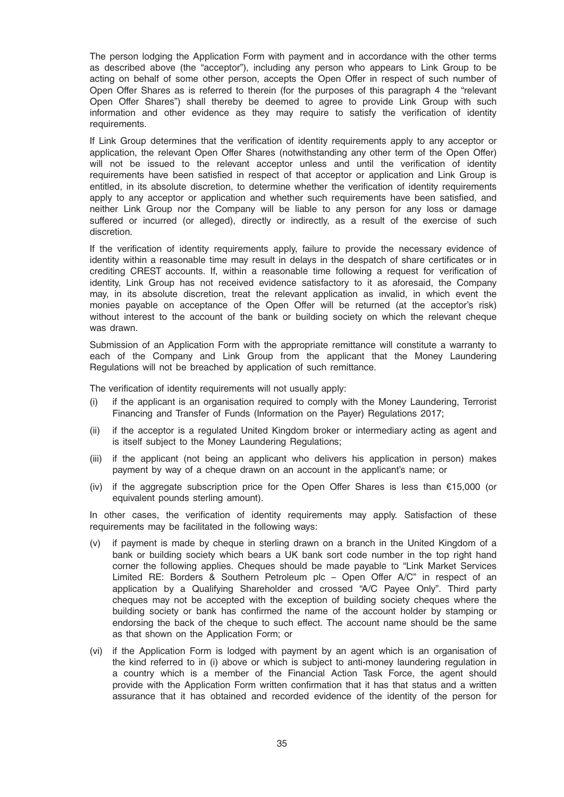The person lodging the Application Form with payment and in accordance with the other terms as described above (the "acceptor"), including any person who appears to Link Group to be acting on behalf of some other person, accepts the Open Offer in respect of such number of Open Offer Shares as is referred to therein (for the purposes of this paragraph 4 the "relevant Open Offer Shares") shall thereby be deemed to agree to provide Link Group with such information and other evidence as they may require to satisfy the verification of identity requirements.

If Link Group determines that the verification of identity requirements apply to any acceptor or application, the relevant Open Offer Shares (notwithstanding any other term of the Open Offer) will not be issued to the relevant acceptor unless and until the verification of identity requirements have been satisfied in respect of that acceptor or application and Link Group is entitled, in its absolute discretion, to determine whether the verification of identity requirements apply to any acceptor or application and whether such requirements have been satisfied, and neither Link Group nor the Company will be liable to any person for any loss or damage suffered or incurred (or alleged), directly or indirectly, as a result of the exercise of such discretion.

If the verification of identity requirements apply, failure to provide the necessary evidence of identity within a reasonable time may result in delays in the despatch of share certificates or in crediting CREST accounts. If, within a reasonable time following a request for verification of identity, Link Group has not received evidence satisfactory to it as aforesaid, the Company may, in its absolute discretion, treat the relevant application as invalid, in which event the monies payable on acceptance of the Open Offer will be returned (at the acceptor's risk) without interest to the account of the bank or building society on which the relevant cheque was drawn.

Submission of an Application Form with the appropriate remittance will constitute a warranty to each of the Company and Link Group from the applicant that the Money Laundering Regulations will not be breached by application of such remittance.

The verification of identity requirements will not usually apply:

- (i) if the applicant is an organisation required to comply with the Money Laundering, Terrorist Financing and Transfer of Funds (Information on the Payer) Regulations 2017;
- (ii) if the acceptor is a regulated United Kingdom broker or intermediary acting as agent and is itself subject to the Money Laundering Regulations;
- (iii) if the applicant (not being an applicant who delivers his application in person) makes payment by way of a cheque drawn on an account in the applicant's name; or
- (iv) if the aggregate subscription price for the Open Offer Shares is less than  $€15,000$  (or equivalent pounds sterling amount).

In other cases, the verification of identity requirements may apply. Satisfaction of these requirements may be facilitated in the following ways:

- (v) if payment is made by cheque in sterling drawn on a branch in the United Kingdom of a bank or building society which bears a UK bank sort code number in the top right hand corner the following applies. Cheques should be made payable to "Link Market Services Limited RE: Borders & Southern Petroleum plc – Open Offer A/C" in respect of an application by a Qualifying Shareholder and crossed "A/C Payee Only". Third party cheques may not be accepted with the exception of building society cheques where the building society or bank has confirmed the name of the account holder by stamping or endorsing the back of the cheque to such effect. The account name should be the same as that shown on the Application Form; or
- (vi) if the Application Form is lodged with payment by an agent which is an organisation of the kind referred to in (i) above or which is subject to anti-money laundering regulation in a country which is a member of the Financial Action Task Force, the agent should provide with the Application Form written confirmation that it has that status and a written assurance that it has obtained and recorded evidence of the identity of the person for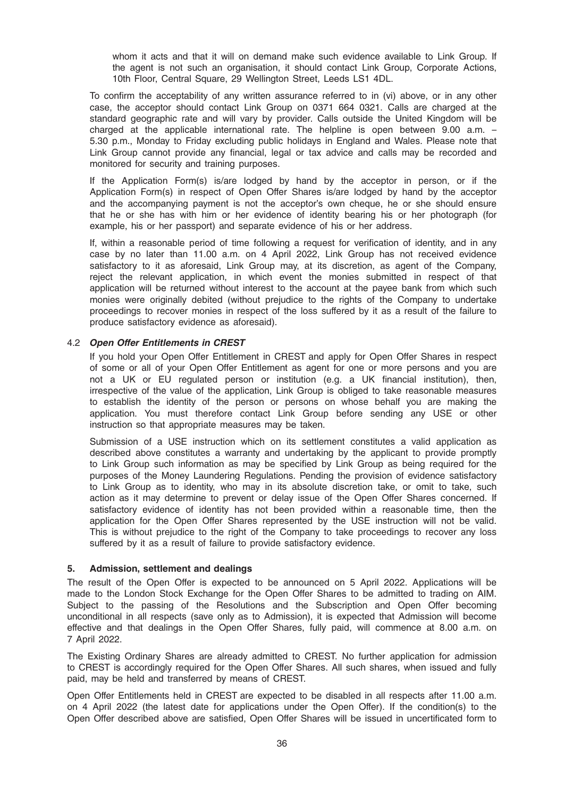whom it acts and that it will on demand make such evidence available to Link Group. If the agent is not such an organisation, it should contact Link Group, Corporate Actions, 10th Floor, Central Square, 29 Wellington Street, Leeds LS1 4DL.

To confirm the acceptability of any written assurance referred to in (vi) above, or in any other case, the acceptor should contact Link Group on 0371 664 0321. Calls are charged at the standard geographic rate and will vary by provider. Calls outside the United Kingdom will be charged at the applicable international rate. The helpline is open between 9.00 a.m. – 5.30 p.m., Monday to Friday excluding public holidays in England and Wales. Please note that Link Group cannot provide any financial, legal or tax advice and calls may be recorded and monitored for security and training purposes.

If the Application Form(s) is/are lodged by hand by the acceptor in person, or if the Application Form(s) in respect of Open Offer Shares is/are lodged by hand by the acceptor and the accompanying payment is not the acceptor's own cheque, he or she should ensure that he or she has with him or her evidence of identity bearing his or her photograph (for example, his or her passport) and separate evidence of his or her address.

If, within a reasonable period of time following a request for verification of identity, and in any case by no later than 11.00 a.m. on 4 April 2022, Link Group has not received evidence satisfactory to it as aforesaid, Link Group may, at its discretion, as agent of the Company, reject the relevant application, in which event the monies submitted in respect of that application will be returned without interest to the account at the payee bank from which such monies were originally debited (without prejudice to the rights of the Company to undertake proceedings to recover monies in respect of the loss suffered by it as a result of the failure to produce satisfactory evidence as aforesaid).

# 4.2 Open Offer Entitlements in CREST

If you hold your Open Offer Entitlement in CREST and apply for Open Offer Shares in respect of some or all of your Open Offer Entitlement as agent for one or more persons and you are not a UK or EU regulated person or institution (e.g. a UK financial institution), then, irrespective of the value of the application, Link Group is obliged to take reasonable measures to establish the identity of the person or persons on whose behalf you are making the application. You must therefore contact Link Group before sending any USE or other instruction so that appropriate measures may be taken.

Submission of a USE instruction which on its settlement constitutes a valid application as described above constitutes a warranty and undertaking by the applicant to provide promptly to Link Group such information as may be specified by Link Group as being required for the purposes of the Money Laundering Regulations. Pending the provision of evidence satisfactory to Link Group as to identity, who may in its absolute discretion take, or omit to take, such action as it may determine to prevent or delay issue of the Open Offer Shares concerned. If satisfactory evidence of identity has not been provided within a reasonable time, then the application for the Open Offer Shares represented by the USE instruction will not be valid. This is without prejudice to the right of the Company to take proceedings to recover any loss suffered by it as a result of failure to provide satisfactory evidence.

#### 5. Admission, settlement and dealings

The result of the Open Offer is expected to be announced on 5 April 2022. Applications will be made to the London Stock Exchange for the Open Offer Shares to be admitted to trading on AIM. Subject to the passing of the Resolutions and the Subscription and Open Offer becoming unconditional in all respects (save only as to Admission), it is expected that Admission will become effective and that dealings in the Open Offer Shares, fully paid, will commence at 8.00 a.m. on 7 April 2022.

The Existing Ordinary Shares are already admitted to CREST. No further application for admission to CREST is accordingly required for the Open Offer Shares. All such shares, when issued and fully paid, may be held and transferred by means of CREST.

Open Offer Entitlements held in CREST are expected to be disabled in all respects after 11.00 a.m. on 4 April 2022 (the latest date for applications under the Open Offer). If the condition(s) to the Open Offer described above are satisfied, Open Offer Shares will be issued in uncertificated form to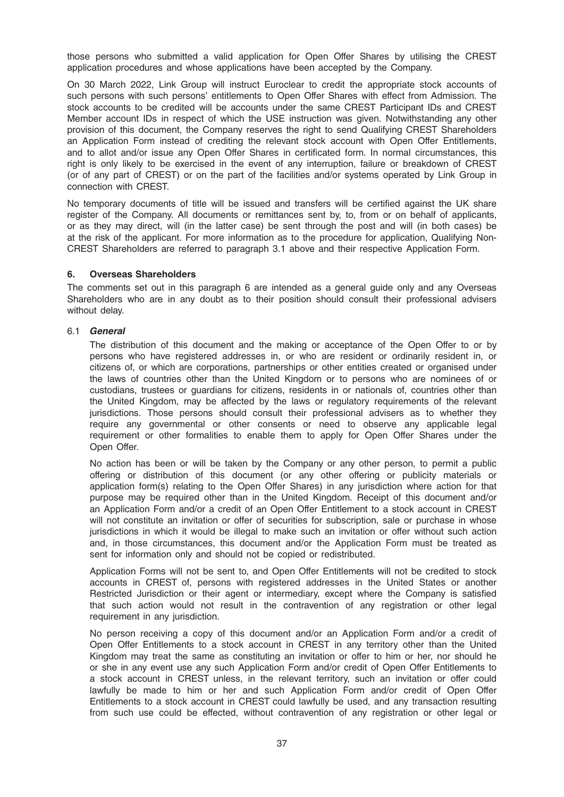those persons who submitted a valid application for Open Offer Shares by utilising the CREST application procedures and whose applications have been accepted by the Company.

On 30 March 2022, Link Group will instruct Euroclear to credit the appropriate stock accounts of such persons with such persons' entitlements to Open Offer Shares with effect from Admission. The stock accounts to be credited will be accounts under the same CREST Participant IDs and CREST Member account IDs in respect of which the USE instruction was given. Notwithstanding any other provision of this document, the Company reserves the right to send Qualifying CREST Shareholders an Application Form instead of crediting the relevant stock account with Open Offer Entitlements, and to allot and/or issue any Open Offer Shares in certificated form. In normal circumstances, this right is only likely to be exercised in the event of any interruption, failure or breakdown of CREST (or of any part of CREST) or on the part of the facilities and/or systems operated by Link Group in connection with CREST.

No temporary documents of title will be issued and transfers will be certified against the UK share register of the Company. All documents or remittances sent by, to, from or on behalf of applicants, or as they may direct, will (in the latter case) be sent through the post and will (in both cases) be at the risk of the applicant. For more information as to the procedure for application, Qualifying Non-CREST Shareholders are referred to paragraph 3.1 above and their respective Application Form.

# 6. Overseas Shareholders

The comments set out in this paragraph 6 are intended as a general guide only and any Overseas Shareholders who are in any doubt as to their position should consult their professional advisers without delay.

# 6.1 General

The distribution of this document and the making or acceptance of the Open Offer to or by persons who have registered addresses in, or who are resident or ordinarily resident in, or citizens of, or which are corporations, partnerships or other entities created or organised under the laws of countries other than the United Kingdom or to persons who are nominees of or custodians, trustees or guardians for citizens, residents in or nationals of, countries other than the United Kingdom, may be affected by the laws or regulatory requirements of the relevant jurisdictions. Those persons should consult their professional advisers as to whether they require any governmental or other consents or need to observe any applicable legal requirement or other formalities to enable them to apply for Open Offer Shares under the Open Offer.

No action has been or will be taken by the Company or any other person, to permit a public offering or distribution of this document (or any other offering or publicity materials or application form(s) relating to the Open Offer Shares) in any jurisdiction where action for that purpose may be required other than in the United Kingdom. Receipt of this document and/or an Application Form and/or a credit of an Open Offer Entitlement to a stock account in CREST will not constitute an invitation or offer of securities for subscription, sale or purchase in whose jurisdictions in which it would be illegal to make such an invitation or offer without such action and, in those circumstances, this document and/or the Application Form must be treated as sent for information only and should not be copied or redistributed.

Application Forms will not be sent to, and Open Offer Entitlements will not be credited to stock accounts in CREST of, persons with registered addresses in the United States or another Restricted Jurisdiction or their agent or intermediary, except where the Company is satisfied that such action would not result in the contravention of any registration or other legal requirement in any jurisdiction.

No person receiving a copy of this document and/or an Application Form and/or a credit of Open Offer Entitlements to a stock account in CREST in any territory other than the United Kingdom may treat the same as constituting an invitation or offer to him or her, nor should he or she in any event use any such Application Form and/or credit of Open Offer Entitlements to a stock account in CREST unless, in the relevant territory, such an invitation or offer could lawfully be made to him or her and such Application Form and/or credit of Open Offer Entitlements to a stock account in CREST could lawfully be used, and any transaction resulting from such use could be effected, without contravention of any registration or other legal or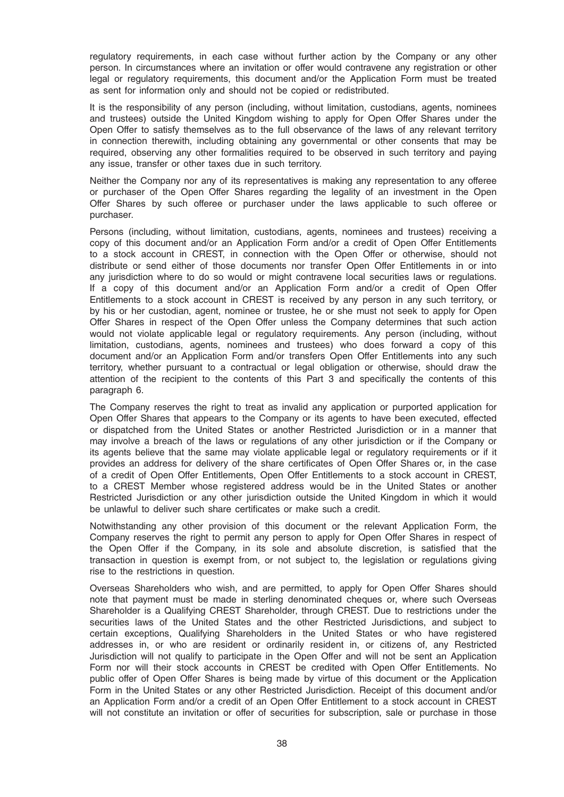regulatory requirements, in each case without further action by the Company or any other person. In circumstances where an invitation or offer would contravene any registration or other legal or regulatory requirements, this document and/or the Application Form must be treated as sent for information only and should not be copied or redistributed.

It is the responsibility of any person (including, without limitation, custodians, agents, nominees and trustees) outside the United Kingdom wishing to apply for Open Offer Shares under the Open Offer to satisfy themselves as to the full observance of the laws of any relevant territory in connection therewith, including obtaining any governmental or other consents that may be required, observing any other formalities required to be observed in such territory and paying any issue, transfer or other taxes due in such territory.

Neither the Company nor any of its representatives is making any representation to any offeree or purchaser of the Open Offer Shares regarding the legality of an investment in the Open Offer Shares by such offeree or purchaser under the laws applicable to such offeree or purchaser.

Persons (including, without limitation, custodians, agents, nominees and trustees) receiving a copy of this document and/or an Application Form and/or a credit of Open Offer Entitlements to a stock account in CREST, in connection with the Open Offer or otherwise, should not distribute or send either of those documents nor transfer Open Offer Entitlements in or into any jurisdiction where to do so would or might contravene local securities laws or regulations. If a copy of this document and/or an Application Form and/or a credit of Open Offer Entitlements to a stock account in CREST is received by any person in any such territory, or by his or her custodian, agent, nominee or trustee, he or she must not seek to apply for Open Offer Shares in respect of the Open Offer unless the Company determines that such action would not violate applicable legal or regulatory requirements. Any person (including, without limitation, custodians, agents, nominees and trustees) who does forward a copy of this document and/or an Application Form and/or transfers Open Offer Entitlements into any such territory, whether pursuant to a contractual or legal obligation or otherwise, should draw the attention of the recipient to the contents of this Part 3 and specifically the contents of this paragraph 6.

The Company reserves the right to treat as invalid any application or purported application for Open Offer Shares that appears to the Company or its agents to have been executed, effected or dispatched from the United States or another Restricted Jurisdiction or in a manner that may involve a breach of the laws or regulations of any other jurisdiction or if the Company or its agents believe that the same may violate applicable legal or regulatory requirements or if it provides an address for delivery of the share certificates of Open Offer Shares or, in the case of a credit of Open Offer Entitlements, Open Offer Entitlements to a stock account in CREST, to a CREST Member whose registered address would be in the United States or another Restricted Jurisdiction or any other jurisdiction outside the United Kingdom in which it would be unlawful to deliver such share certificates or make such a credit.

Notwithstanding any other provision of this document or the relevant Application Form, the Company reserves the right to permit any person to apply for Open Offer Shares in respect of the Open Offer if the Company, in its sole and absolute discretion, is satisfied that the transaction in question is exempt from, or not subject to, the legislation or regulations giving rise to the restrictions in question.

Overseas Shareholders who wish, and are permitted, to apply for Open Offer Shares should note that payment must be made in sterling denominated cheques or, where such Overseas Shareholder is a Qualifying CREST Shareholder, through CREST. Due to restrictions under the securities laws of the United States and the other Restricted Jurisdictions, and subject to certain exceptions, Qualifying Shareholders in the United States or who have registered addresses in, or who are resident or ordinarily resident in, or citizens of, any Restricted Jurisdiction will not qualify to participate in the Open Offer and will not be sent an Application Form nor will their stock accounts in CREST be credited with Open Offer Entitlements. No public offer of Open Offer Shares is being made by virtue of this document or the Application Form in the United States or any other Restricted Jurisdiction. Receipt of this document and/or an Application Form and/or a credit of an Open Offer Entitlement to a stock account in CREST will not constitute an invitation or offer of securities for subscription, sale or purchase in those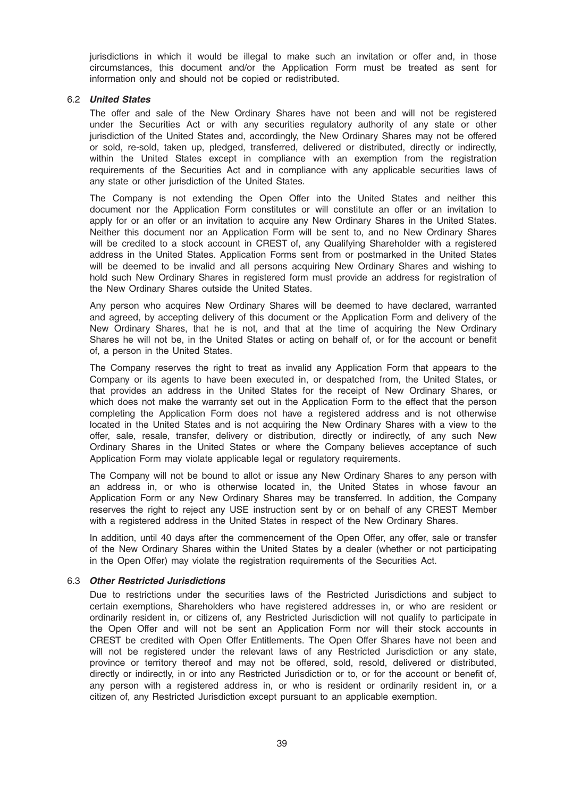jurisdictions in which it would be illegal to make such an invitation or offer and, in those circumstances, this document and/or the Application Form must be treated as sent for information only and should not be copied or redistributed.

#### 6.2 United States

The offer and sale of the New Ordinary Shares have not been and will not be registered under the Securities Act or with any securities regulatory authority of any state or other jurisdiction of the United States and, accordingly, the New Ordinary Shares may not be offered or sold, re-sold, taken up, pledged, transferred, delivered or distributed, directly or indirectly, within the United States except in compliance with an exemption from the registration requirements of the Securities Act and in compliance with any applicable securities laws of any state or other jurisdiction of the United States.

The Company is not extending the Open Offer into the United States and neither this document nor the Application Form constitutes or will constitute an offer or an invitation to apply for or an offer or an invitation to acquire any New Ordinary Shares in the United States. Neither this document nor an Application Form will be sent to, and no New Ordinary Shares will be credited to a stock account in CREST of, any Qualifying Shareholder with a registered address in the United States. Application Forms sent from or postmarked in the United States will be deemed to be invalid and all persons acquiring New Ordinary Shares and wishing to hold such New Ordinary Shares in registered form must provide an address for registration of the New Ordinary Shares outside the United States.

Any person who acquires New Ordinary Shares will be deemed to have declared, warranted and agreed, by accepting delivery of this document or the Application Form and delivery of the New Ordinary Shares, that he is not, and that at the time of acquiring the New Ordinary Shares he will not be, in the United States or acting on behalf of, or for the account or benefit of, a person in the United States.

The Company reserves the right to treat as invalid any Application Form that appears to the Company or its agents to have been executed in, or despatched from, the United States, or that provides an address in the United States for the receipt of New Ordinary Shares, or which does not make the warranty set out in the Application Form to the effect that the person completing the Application Form does not have a registered address and is not otherwise located in the United States and is not acquiring the New Ordinary Shares with a view to the offer, sale, resale, transfer, delivery or distribution, directly or indirectly, of any such New Ordinary Shares in the United States or where the Company believes acceptance of such Application Form may violate applicable legal or regulatory requirements.

The Company will not be bound to allot or issue any New Ordinary Shares to any person with an address in, or who is otherwise located in, the United States in whose favour an Application Form or any New Ordinary Shares may be transferred. In addition, the Company reserves the right to reject any USE instruction sent by or on behalf of any CREST Member with a registered address in the United States in respect of the New Ordinary Shares.

In addition, until 40 days after the commencement of the Open Offer, any offer, sale or transfer of the New Ordinary Shares within the United States by a dealer (whether or not participating in the Open Offer) may violate the registration requirements of the Securities Act.

#### 6.3 Other Restricted Jurisdictions

Due to restrictions under the securities laws of the Restricted Jurisdictions and subject to certain exemptions, Shareholders who have registered addresses in, or who are resident or ordinarily resident in, or citizens of, any Restricted Jurisdiction will not qualify to participate in the Open Offer and will not be sent an Application Form nor will their stock accounts in CREST be credited with Open Offer Entitlements. The Open Offer Shares have not been and will not be registered under the relevant laws of any Restricted Jurisdiction or any state, province or territory thereof and may not be offered, sold, resold, delivered or distributed, directly or indirectly, in or into any Restricted Jurisdiction or to, or for the account or benefit of, any person with a registered address in, or who is resident or ordinarily resident in, or a citizen of, any Restricted Jurisdiction except pursuant to an applicable exemption.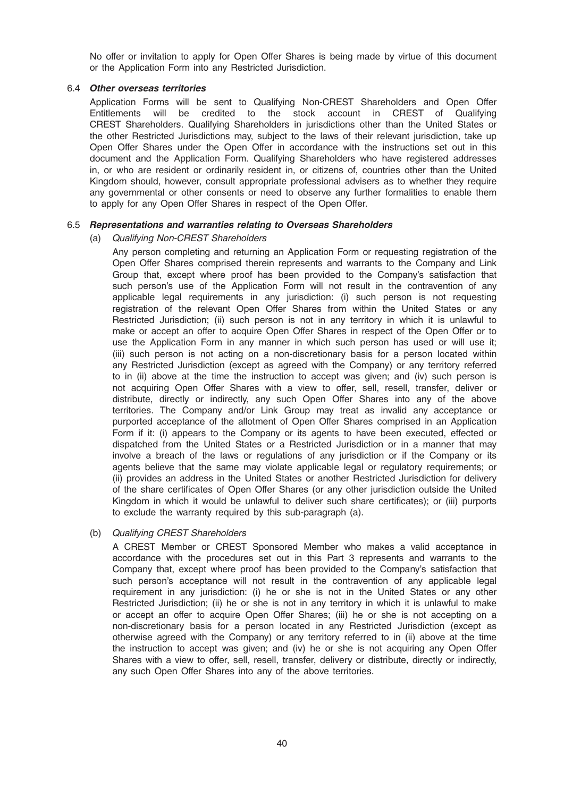No offer or invitation to apply for Open Offer Shares is being made by virtue of this document or the Application Form into any Restricted Jurisdiction.

# 6.4 Other overseas territories

Application Forms will be sent to Qualifying Non-CREST Shareholders and Open Offer Entitlements will be credited to the stock account in CREST of Qualifying CREST Shareholders. Qualifying Shareholders in jurisdictions other than the United States or the other Restricted Jurisdictions may, subject to the laws of their relevant jurisdiction, take up Open Offer Shares under the Open Offer in accordance with the instructions set out in this document and the Application Form. Qualifying Shareholders who have registered addresses in, or who are resident or ordinarily resident in, or citizens of, countries other than the United Kingdom should, however, consult appropriate professional advisers as to whether they require any governmental or other consents or need to observe any further formalities to enable them to apply for any Open Offer Shares in respect of the Open Offer.

# 6.5 Representations and warranties relating to Overseas Shareholders

# (a) Qualifying Non-CREST Shareholders

Any person completing and returning an Application Form or requesting registration of the Open Offer Shares comprised therein represents and warrants to the Company and Link Group that, except where proof has been provided to the Company's satisfaction that such person's use of the Application Form will not result in the contravention of any applicable legal requirements in any jurisdiction: (i) such person is not requesting registration of the relevant Open Offer Shares from within the United States or any Restricted Jurisdiction; (ii) such person is not in any territory in which it is unlawful to make or accept an offer to acquire Open Offer Shares in respect of the Open Offer or to use the Application Form in any manner in which such person has used or will use it; (iii) such person is not acting on a non-discretionary basis for a person located within any Restricted Jurisdiction (except as agreed with the Company) or any territory referred to in (ii) above at the time the instruction to accept was given; and (iv) such person is not acquiring Open Offer Shares with a view to offer, sell, resell, transfer, deliver or distribute, directly or indirectly, any such Open Offer Shares into any of the above territories. The Company and/or Link Group may treat as invalid any acceptance or purported acceptance of the allotment of Open Offer Shares comprised in an Application Form if it: (i) appears to the Company or its agents to have been executed, effected or dispatched from the United States or a Restricted Jurisdiction or in a manner that may involve a breach of the laws or regulations of any jurisdiction or if the Company or its agents believe that the same may violate applicable legal or regulatory requirements; or (ii) provides an address in the United States or another Restricted Jurisdiction for delivery of the share certificates of Open Offer Shares (or any other jurisdiction outside the United Kingdom in which it would be unlawful to deliver such share certificates); or (iii) purports to exclude the warranty required by this sub-paragraph (a).

# (b) Qualifying CREST Shareholders

A CREST Member or CREST Sponsored Member who makes a valid acceptance in accordance with the procedures set out in this Part 3 represents and warrants to the Company that, except where proof has been provided to the Company's satisfaction that such person's acceptance will not result in the contravention of any applicable legal requirement in any jurisdiction: (i) he or she is not in the United States or any other Restricted Jurisdiction; (ii) he or she is not in any territory in which it is unlawful to make or accept an offer to acquire Open Offer Shares; (iii) he or she is not accepting on a non-discretionary basis for a person located in any Restricted Jurisdiction (except as otherwise agreed with the Company) or any territory referred to in (ii) above at the time the instruction to accept was given; and (iv) he or she is not acquiring any Open Offer Shares with a view to offer, sell, resell, transfer, delivery or distribute, directly or indirectly, any such Open Offer Shares into any of the above territories.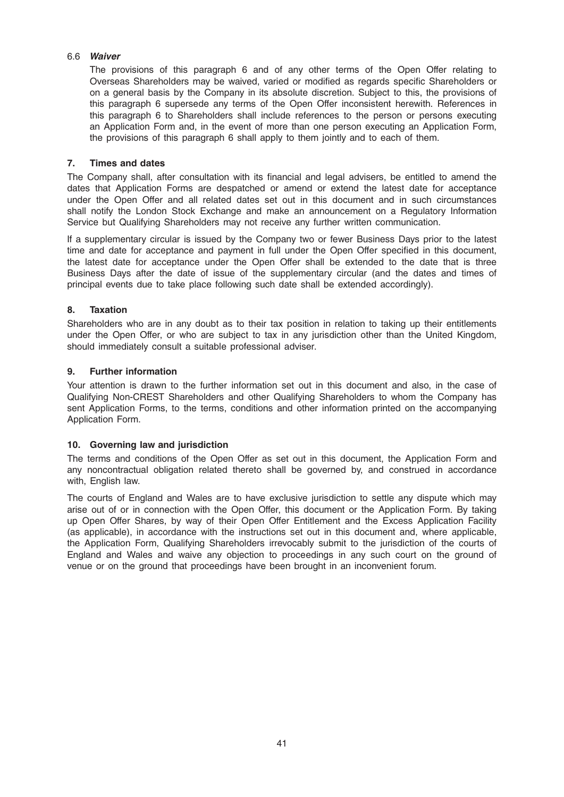# 6.6 Waiver

The provisions of this paragraph 6 and of any other terms of the Open Offer relating to Overseas Shareholders may be waived, varied or modified as regards specific Shareholders or on a general basis by the Company in its absolute discretion. Subject to this, the provisions of this paragraph 6 supersede any terms of the Open Offer inconsistent herewith. References in this paragraph 6 to Shareholders shall include references to the person or persons executing an Application Form and, in the event of more than one person executing an Application Form, the provisions of this paragraph 6 shall apply to them jointly and to each of them.

# 7. Times and dates

The Company shall, after consultation with its financial and legal advisers, be entitled to amend the dates that Application Forms are despatched or amend or extend the latest date for acceptance under the Open Offer and all related dates set out in this document and in such circumstances shall notify the London Stock Exchange and make an announcement on a Regulatory Information Service but Qualifying Shareholders may not receive any further written communication.

If a supplementary circular is issued by the Company two or fewer Business Days prior to the latest time and date for acceptance and payment in full under the Open Offer specified in this document, the latest date for acceptance under the Open Offer shall be extended to the date that is three Business Days after the date of issue of the supplementary circular (and the dates and times of principal events due to take place following such date shall be extended accordingly).

# 8. Taxation

Shareholders who are in any doubt as to their tax position in relation to taking up their entitlements under the Open Offer, or who are subject to tax in any jurisdiction other than the United Kingdom, should immediately consult a suitable professional adviser.

# 9. Further information

Your attention is drawn to the further information set out in this document and also, in the case of Qualifying Non-CREST Shareholders and other Qualifying Shareholders to whom the Company has sent Application Forms, to the terms, conditions and other information printed on the accompanying Application Form.

# 10. Governing law and jurisdiction

The terms and conditions of the Open Offer as set out in this document, the Application Form and any noncontractual obligation related thereto shall be governed by, and construed in accordance with, English law.

The courts of England and Wales are to have exclusive jurisdiction to settle any dispute which may arise out of or in connection with the Open Offer, this document or the Application Form. By taking up Open Offer Shares, by way of their Open Offer Entitlement and the Excess Application Facility (as applicable), in accordance with the instructions set out in this document and, where applicable, the Application Form, Qualifying Shareholders irrevocably submit to the jurisdiction of the courts of England and Wales and waive any objection to proceedings in any such court on the ground of venue or on the ground that proceedings have been brought in an inconvenient forum.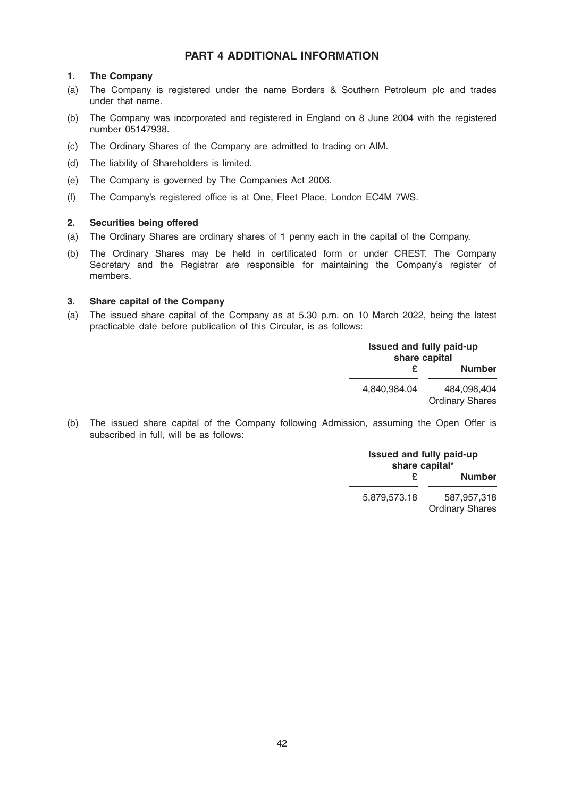# PART 4 ADDITIONAL INFORMATION

# 1. The Company

- (a) The Company is registered under the name Borders & Southern Petroleum plc and trades under that name.
- (b) The Company was incorporated and registered in England on 8 June 2004 with the registered number 05147938.
- (c) The Ordinary Shares of the Company are admitted to trading on AIM.
- (d) The liability of Shareholders is limited.
- (e) The Company is governed by The Companies Act 2006.
- (f) The Company's registered office is at One, Fleet Place, London EC4M 7WS.

# 2. Securities being offered

- (a) The Ordinary Shares are ordinary shares of 1 penny each in the capital of the Company.
- (b) The Ordinary Shares may be held in certificated form or under CREST. The Company Secretary and the Registrar are responsible for maintaining the Company's register of members.

# 3. Share capital of the Company

(a) The issued share capital of the Company as at 5.30 p.m. on 10 March 2022, being the latest practicable date before publication of this Circular, is as follows:

|              | <b>Issued and fully paid-up</b><br>share capital |  |  |
|--------------|--------------------------------------------------|--|--|
|              | <b>Number</b>                                    |  |  |
| 4.840.984.04 | 484.098.404<br><b>Ordinary Shares</b>            |  |  |

(b) The issued share capital of the Company following Admission, assuming the Open Offer is subscribed in full, will be as follows:

| <b>Issued and fully paid-up</b><br>share capital* |                                       |  |
|---------------------------------------------------|---------------------------------------|--|
| £.                                                | <b>Number</b>                         |  |
| 5.879.573.18                                      | 587.957.318<br><b>Ordinary Shares</b> |  |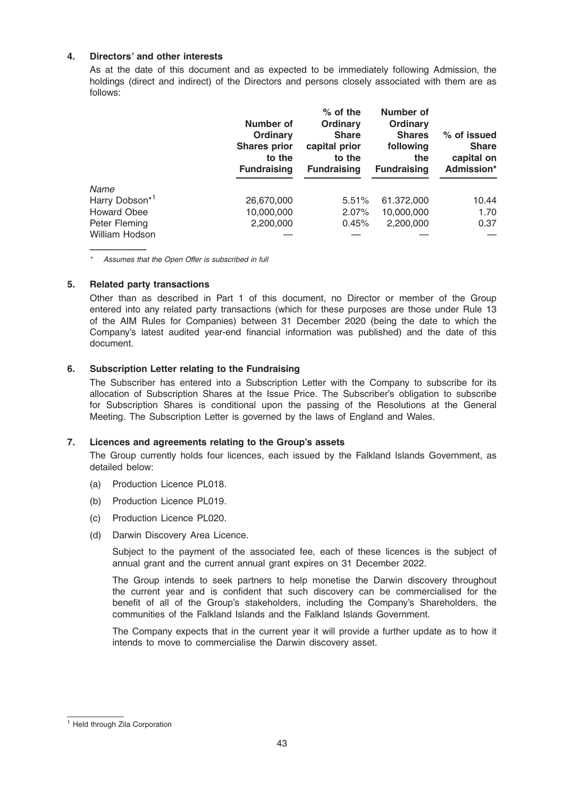# 4. Directors' and other interests

As at the date of this document and as expected to be immediately following Admission, the holdings (direct and indirect) of the Directors and persons closely associated with them are as follows:

|                            | Number of<br>Ordinary<br><b>Shares prior</b><br>to the<br><b>Fundraising</b> | $%$ of the<br>Ordinary<br><b>Share</b><br>capital prior<br>to the<br><b>Fundraising</b> | <b>Number of</b><br>Ordinary<br><b>Shares</b><br>following<br>the<br><b>Fundraising</b> | % of issued<br><b>Share</b><br>capital on<br>Admission* |
|----------------------------|------------------------------------------------------------------------------|-----------------------------------------------------------------------------------------|-----------------------------------------------------------------------------------------|---------------------------------------------------------|
| Name                       |                                                                              |                                                                                         |                                                                                         |                                                         |
| Harry Dobson <sup>*1</sup> | 26,670,000                                                                   | 5.51%                                                                                   | 61.372,000                                                                              | 10.44                                                   |
| <b>Howard Obee</b>         | 10,000,000                                                                   | 2.07%                                                                                   | 10,000,000                                                                              | 1.70                                                    |
| Peter Fleming              | 2,200,000                                                                    | 0.45%                                                                                   | 2,200,000                                                                               | 0.37                                                    |
| William Hodson             |                                                                              |                                                                                         |                                                                                         |                                                         |

————— \* Assumes that the Open Offer is subscribed in full

# 5. Related party transactions

Other than as described in Part 1 of this document, no Director or member of the Group entered into any related party transactions (which for these purposes are those under Rule 13 of the AIM Rules for Companies) between 31 December 2020 (being the date to which the Company's latest audited year-end financial information was published) and the date of this document.

# 6. Subscription Letter relating to the Fundraising

The Subscriber has entered into a Subscription Letter with the Company to subscribe for its allocation of Subscription Shares at the Issue Price. The Subscriber's obligation to subscribe for Subscription Shares is conditional upon the passing of the Resolutions at the General Meeting. The Subscription Letter is governed by the laws of England and Wales.

#### 7. Licences and agreements relating to the Group's assets

The Group currently holds four licences, each issued by the Falkland Islands Government, as detailed below:

- (a) Production Licence PL018.
- (b) Production Licence PL019.
- (c) Production Licence PL020.
- (d) Darwin Discovery Area Licence.

Subject to the payment of the associated fee, each of these licences is the subject of annual grant and the current annual grant expires on 31 December 2022.

The Group intends to seek partners to help monetise the Darwin discovery throughout the current year and is confident that such discovery can be commercialised for the benefit of all of the Group's stakeholders, including the Company's Shareholders, the communities of the Falkland Islands and the Falkland Islands Government.

The Company expects that in the current year it will provide a further update as to how it intends to move to commercialise the Darwin discovery asset.

<sup>1</sup> Held through Zila Corporation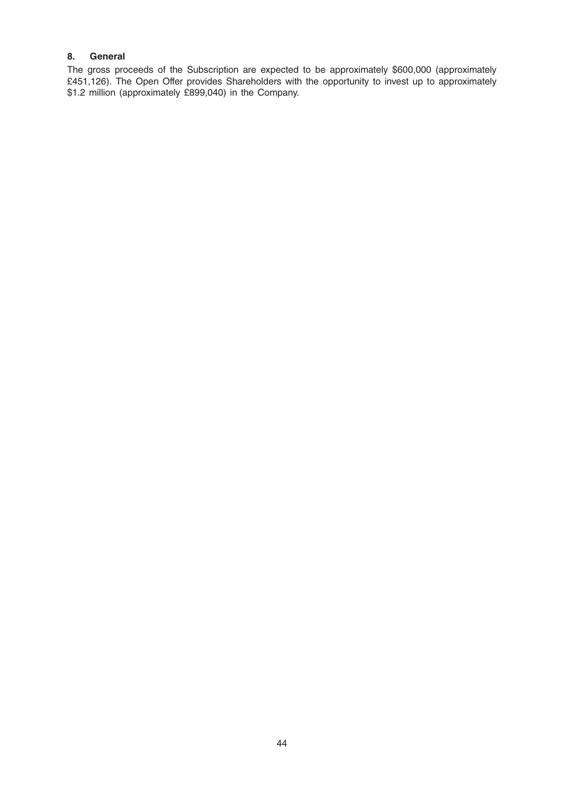# 8. General

The gross proceeds of the Subscription are expected to be approximately \$600,000 (approximately £451,126). The Open Offer provides Shareholders with the opportunity to invest up to approximately \$1.2 million (approximately £899,040) in the Company.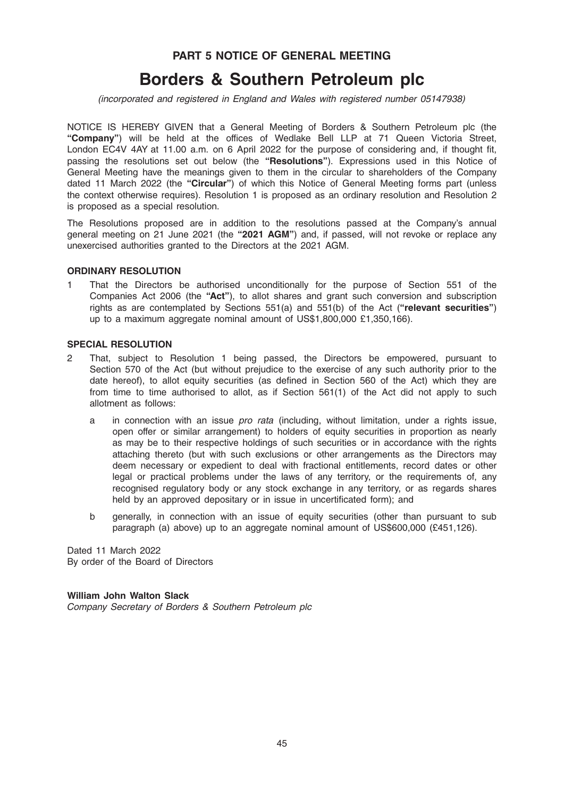# PART 5 NOTICE OF GENERAL MEETING

# Borders & Southern Petroleum plc

(incorporated and registered in England and Wales with registered number 05147938)

NOTICE IS HEREBY GIVEN that a General Meeting of Borders & Southern Petroleum plc (the "Company") will be held at the offices of Wedlake Bell LLP at 71 Queen Victoria Street, London EC4V 4AY at 11.00 a.m. on 6 April 2022 for the purpose of considering and, if thought fit, passing the resolutions set out below (the "Resolutions"). Expressions used in this Notice of General Meeting have the meanings given to them in the circular to shareholders of the Company dated 11 March 2022 (the "Circular") of which this Notice of General Meeting forms part (unless the context otherwise requires). Resolution 1 is proposed as an ordinary resolution and Resolution 2 is proposed as a special resolution.

The Resolutions proposed are in addition to the resolutions passed at the Company's annual general meeting on 21 June 2021 (the "2021 AGM") and, if passed, will not revoke or replace any unexercised authorities granted to the Directors at the 2021 AGM.

#### ORDINARY RESOLUTION

1 That the Directors be authorised unconditionally for the purpose of Section 551 of the Companies Act 2006 (the "Act"), to allot shares and grant such conversion and subscription rights as are contemplated by Sections  $551(a)$  and  $551(b)$  of the Act ("relevant securities") up to a maximum aggregate nominal amount of US\$1,800,000 £1,350,166).

#### SPECIAL RESOLUTION

- 2 That, subject to Resolution 1 being passed, the Directors be empowered, pursuant to Section 570 of the Act (but without prejudice to the exercise of any such authority prior to the date hereof), to allot equity securities (as defined in Section 560 of the Act) which they are from time to time authorised to allot, as if Section 561(1) of the Act did not apply to such allotment as follows:
	- a in connection with an issue pro rata (including, without limitation, under a rights issue, open offer or similar arrangement) to holders of equity securities in proportion as nearly as may be to their respective holdings of such securities or in accordance with the rights attaching thereto (but with such exclusions or other arrangements as the Directors may deem necessary or expedient to deal with fractional entitlements, record dates or other legal or practical problems under the laws of any territory, or the requirements of, any recognised regulatory body or any stock exchange in any territory, or as regards shares held by an approved depositary or in issue in uncertificated form); and
	- b generally, in connection with an issue of equity securities (other than pursuant to sub paragraph (a) above) up to an aggregate nominal amount of US\$600,000 (£451,126).

Dated 11 March 2022 By order of the Board of Directors

William John Walton Slack

Company Secretary of Borders & Southern Petroleum plc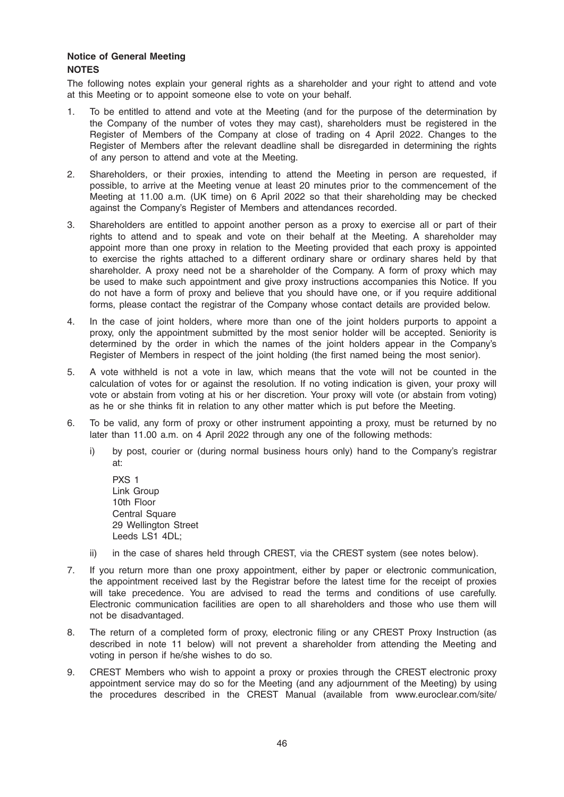# Notice of General Meeting **NOTES**

The following notes explain your general rights as a shareholder and your right to attend and vote at this Meeting or to appoint someone else to vote on your behalf.

- 1. To be entitled to attend and vote at the Meeting (and for the purpose of the determination by the Company of the number of votes they may cast), shareholders must be registered in the Register of Members of the Company at close of trading on 4 April 2022. Changes to the Register of Members after the relevant deadline shall be disregarded in determining the rights of any person to attend and vote at the Meeting.
- 2. Shareholders, or their proxies, intending to attend the Meeting in person are requested, if possible, to arrive at the Meeting venue at least 20 minutes prior to the commencement of the Meeting at 11.00 a.m. (UK time) on 6 April 2022 so that their shareholding may be checked against the Company's Register of Members and attendances recorded.
- 3. Shareholders are entitled to appoint another person as a proxy to exercise all or part of their rights to attend and to speak and vote on their behalf at the Meeting. A shareholder may appoint more than one proxy in relation to the Meeting provided that each proxy is appointed to exercise the rights attached to a different ordinary share or ordinary shares held by that shareholder. A proxy need not be a shareholder of the Company. A form of proxy which may be used to make such appointment and give proxy instructions accompanies this Notice. If you do not have a form of proxy and believe that you should have one, or if you require additional forms, please contact the registrar of the Company whose contact details are provided below.
- 4. In the case of joint holders, where more than one of the joint holders purports to appoint a proxy, only the appointment submitted by the most senior holder will be accepted. Seniority is determined by the order in which the names of the joint holders appear in the Company's Register of Members in respect of the joint holding (the first named being the most senior).
- 5. A vote withheld is not a vote in law, which means that the vote will not be counted in the calculation of votes for or against the resolution. If no voting indication is given, your proxy will vote or abstain from voting at his or her discretion. Your proxy will vote (or abstain from voting) as he or she thinks fit in relation to any other matter which is put before the Meeting.
- 6. To be valid, any form of proxy or other instrument appointing a proxy, must be returned by no later than 11.00 a.m. on 4 April 2022 through any one of the following methods:
	- i) by post, courier or (during normal business hours only) hand to the Company's registrar at:
		- PXS 1 Link Group 10th Floor **Central Square** 29 Wellington Street Leeds LS1 4DL:
	- ii) in the case of shares held through CREST, via the CREST system (see notes below).
- 7. If you return more than one proxy appointment, either by paper or electronic communication, the appointment received last by the Registrar before the latest time for the receipt of proxies will take precedence. You are advised to read the terms and conditions of use carefully. Electronic communication facilities are open to all shareholders and those who use them will not be disadvantaged.
- 8. The return of a completed form of proxy, electronic filing or any CREST Proxy Instruction (as described in note 11 below) will not prevent a shareholder from attending the Meeting and voting in person if he/she wishes to do so.
- 9. CREST Members who wish to appoint a proxy or proxies through the CREST electronic proxy appointment service may do so for the Meeting (and any adjournment of the Meeting) by using the procedures described in the CREST Manual (available from www.euroclear.com/site/